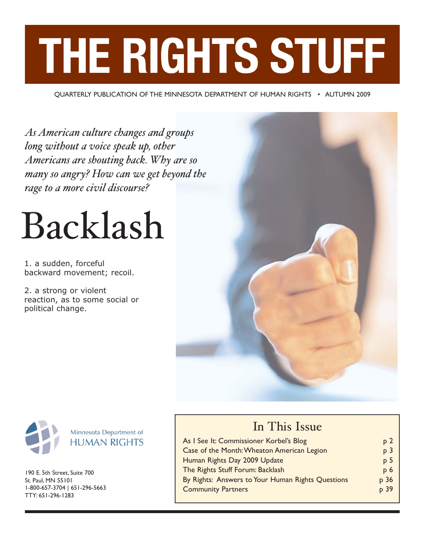# **THE RIGHTS STUFF**

QUARTERLY PUBLICATION OF THE MINNESOTA DEPARTMENT OF HUMAN RIGHTS • AUTUMN 2009

*As American culture changes and groups long without a voice speak up, other Americans are shouting back. Why are so many so angry? How can we get beyond the rage to a more civil discourse?*

## Backlash

1. a sudden, forceful backward movement; recoil.

2. a strong or violent reaction, as to some social or political change.





190 E. 5th Street, Suite 700 St. Paul, MN 55101 1-800-657-3704 | 651-296-5663 TTY: 651-296-1283

## In This Issue

| As I See It: Commissioner Korbel's Blog           | p <sub>2</sub> |
|---------------------------------------------------|----------------|
| Case of the Month: Wheaton American Legion        | p <sub>3</sub> |
| Human Rights Day 2009 Update                      | p <sub>5</sub> |
| The Rights Stuff Forum: Backlash                  | p <sub>6</sub> |
| By Rights: Answers to Your Human Rights Questions | p 36           |
| <b>Community Partners</b>                         | p 39           |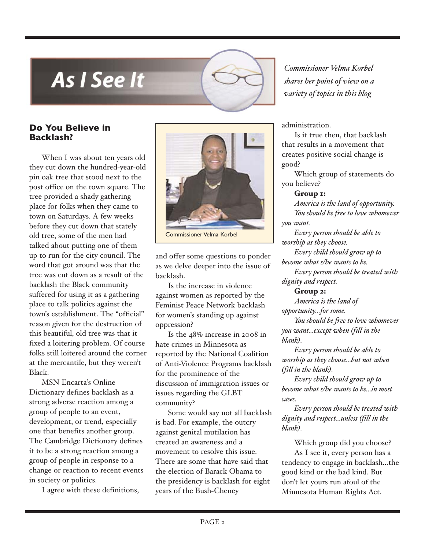## <span id="page-1-0"></span>**As I See It**

#### **Do You Believe in Backlash?**

When I was about ten years old they cut down the hundred-year-old pin oak tree that stood next to the post office on the town square. The tree provided a shady gathering place for folks when they came to town on Saturdays. A few weeks before they cut down that stately old tree, some of the men had talked about putting one of them up to run for the city council. The word that got around was that the tree was cut down as a result of the backlash the Black community suffered for using it as a gathering place to talk politics against the town's establishment. The "official" reason given for the destruction of this beautiful, old tree was that it fixed a loitering problem. Of course folks still loitered around the corner at the mercantile, but they weren't Black.

MSN Encarta's Online Dictionary defines backlash as a strong adverse reaction among a group of people to an event, development, or trend, especially one that benefits another group. The Cambridge Dictionary defines it to be a strong reaction among a group of people in response to a change or reaction to recent events in society or politics.

I agree with these definitions,



Commissioner Velma Korbel

and offer some questions to ponder as we delve deeper into the issue of backlash.

Is the increase in violence against women as reported by the Feminist Peace Network backlash for women's standing up against oppression?

Is the 48% increase in 2008 in hate crimes in Minnesota as reported by the National Coalition of Anti-Violence Programs backlash for the prominence of the discussion of immigration issues or issues regarding the GLBT community?

Some would say not all backlash is bad. For example, the outcry against genital mutilation has created an awareness and a movement to resolve this issue. There are some that have said that the election of Barack Obama to the presidency is backlash for eight years of the Bush-Cheney

*Commissioner Velma Korbel shares her point of view on a variety of topics in this blog*

administration.

Is it true then, that backlash that results in a movement that creates positive social change is good?

Which group of statements do you believe?

Group 1:

*America is the land of opportunity. You should be free to love whomever you want.*

*Every person should be able to worship as they choose.*

*Every child should grow up to become what s/he wants to be. Every person should be treated with dignity and respect.*

#### Group 2:

*America is the land of opportunity…for some.*

*You should be free to love whomever you want…except when (fill in the blank).*

*Every person should be able to worship as they choose…but not when (fill in the blank).*

*Every child should grow up to become what s/he wants to be…in most cases.*

*Every person should be treated with dignity and respect…unless (fill in the blank).*

Which group did you choose? As I see it, every person has a tendency to engage in backlash…the good kind or the bad kind. But don't let yours run afoul of the Minnesota Human Rights Act.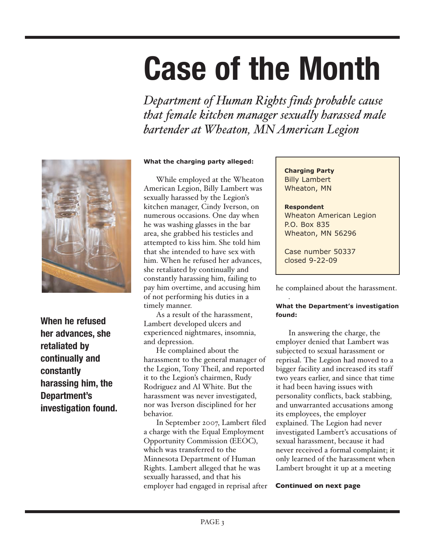## <span id="page-2-0"></span>**Case of the Month**

*Department of Human Rights finds probable cause that female kitchen manager sexually harassed male bartender at Wheaton, MN American Legion* 



**When he refused her advances, she retaliated by continually and constantly harassing him, the Department's investigation found.**

#### **What the charging party alleged:**

While employed at the Wheaton American Legion, Billy Lambert was sexually harassed by the Legion's kitchen manager, Cindy Iverson, on numerous occasions. One day when he was washing glasses in the bar area, she grabbed his testicles and attempted to kiss him. She told him that she intended to have sex with him. When he refused her advances, she retaliated by continually and constantly harassing him, failing to pay him overtime, and accusing him of not performing his duties in a timely manner.

As a result of the harassment, Lambert developed ulcers and experienced nightmares, insomnia, and depression.

He complained about the harassment to the general manager of the Legion, Tony Theil, and reported it to the Legion's chairmen, Rudy Rodriguez and Al White. But the harassment was never investigated, nor was Iverson disciplined for her behavior.

In September 2007, Lambert filed a charge with the Equal Employment Opportunity Commission (EEOC), which was transferred to the Minnesota Department of Human Rights. Lambert alleged that he was sexually harassed, and that his employer had engaged in reprisal after **Charging Party** Billy Lambert Wheaton, MN

#### **Respondent** Wheaton American Legion P.O. Box 835 Wheaton, MN 56296

Case number 50337 closed 9-22-09

he complained about the harassment.

#### . **What the Department's investigation found:**

In answering the charge, the employer denied that Lambert was subjected to sexual harassment or reprisal. The Legion had moved to a bigger facility and increased its staff two years earlier, and since that time it had been having issues with personality conflicts, back stabbing, and unwarranted accusations among its employees, the employer explained. The Legion had never investigated Lambert's accusations of sexual harassment, because it had never received a formal complaint; it only learned of the harassment when Lambert brought it up at a meeting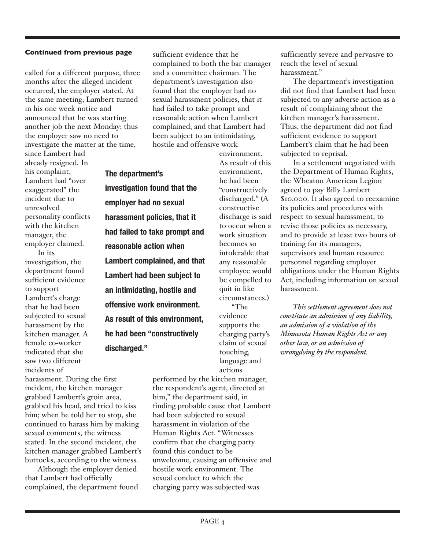called for a different purpose, three months after the alleged incident occurred, the employer stated. At the same meeting, Lambert turned in his one week notice and announced that he was starting another job the next Monday; thus the employer saw no need to investigate the matter at the time,

**The department's**

**investigation found that the**

**harassment policies, that it**

**Lambert had been subject to**

**an intimidating, hostile and**

**offensive work environment.**

**As result of this environment,**

**he had been "constructively**

**discharged."**

**employer had no sexual**

**reasonable action when**

since Lambert had already resigned. In his complaint, Lambert had "over exaggerated" the incident due to unresolved personality conflicts with the kitchen manager, the employer claimed. In its

investigation, the department found sufficient evidence to support Lambert's charge that he had been subjected to sexual harassment by the kitchen manager. A female co-worker indicated that she saw two different incidents of

harassment. During the first incident, the kitchen manager grabbed Lambert's groin area, grabbed his head, and tried to kiss him; when he told her to stop, she continued to harass him by making sexual comments, the witness stated. In the second incident, the kitchen manager grabbed Lambert's buttocks, according to the witness.

Although the employer denied that Lambert had officially complained, the department found sufficient evidence that he complained to both the bar manager and a committee chairman. The department's investigation also found that the employer had no sexual harassment policies, that it had failed to take prompt and reasonable action when Lambert complained, and that Lambert had been subject to an intimidating, hostile and offensive work

environment. As result of this environment, he had been "constructively discharged." (A constructive discharge is said to occur when a work situation becomes so intolerable that any reasonable employee would be compelled to quit in like circumstances.) "The evidence supports the charging party's claim of sexual touching, language and **had failed to take prompt and Lambert complained, and that**

actions

performed by the kitchen manager, the respondent's agent, directed at him," the department said, in finding probable cause that Lambert had been subjected to sexual harassment in violation of the Human Rights Act. "Witnesses confirm that the charging party found this conduct to be unwelcome, causing an offensive and hostile work environment. The sexual conduct to which the charging party was subjected was

sufficiently severe and pervasive to reach the level of sexual harassment."

The department's investigation did not find that Lambert had been subjected to any adverse action as a result of complaining about the kitchen manager's harassment. Thus, the department did not find sufficient evidence to support Lambert's claim that he had been subjected to reprisal.

In a settlement negotiated with the Department of Human Rights, the Wheaton American Legion agreed to pay Billy Lambert \$10,000. It also agreed to reexamine its policies and procedures with respect to sexual harassment, to revise those policies as necessary, and to provide at least two hours of training for its managers, supervisors and human resource personnel regarding employer obligations under the Human Rights Act, including information on sexual harassment.

*This settlement agreement does not constitute an admission of any liability, an admission of a violation of the Minnesota Human Rights Act or any other law, or an admission of wrongdoing by the respondent.*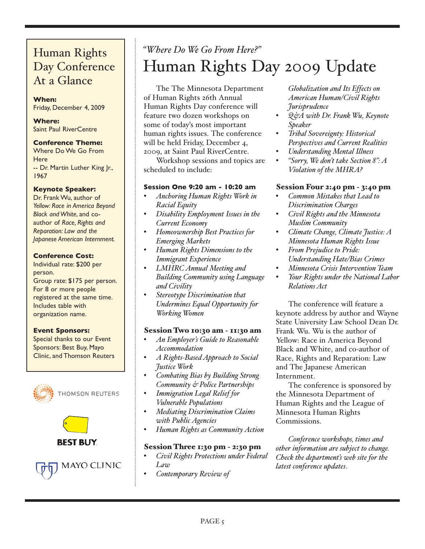## Day Conference At a Glance

#### **When:**

Friday, December 4, 2009

#### **Where:** Saint Paul RiverCentre

#### **Conference Theme:**

Where Do We Go From **Here** -- Dr. Martin Luther King Jr., 1967

#### **Keynote Speaker:**

Dr. Frank Wu, author of *Yellow: Race in America Beyond Black and White*, and coauthor of *Race, Rights and Reparation: Law and the Japanese American Internment.*

#### **Conference Cost:**

Individual rate: \$200 per person. Group rate: \$175 per person. For 8 or more people registered at the same time. Includes table with organization name.

#### **Event Sponsors:**

Special thanks to our Event Sponsors: Best Buy, Mayo Clinic, and Thomson Reuters



**THOMSON REUTERS** 

**MAYO CLINIC** 



## <span id="page-4-0"></span>*"Where Do We Go From Here?"* Human Rights Day Conference Human Rights Day 2009 Update

The The Minnesota Department of Human Rights 26th Annual Human Rights Day conference will feature two dozen workshops on some of today's most important human rights issues. The conference will be held Friday, December 4, 2009, at Saint Paul RiverCentre.

Workshop sessions and topics are scheduled to include:

#### **Session One 9:20 am - 10:20 am**

- *Anchoring Human Rights Work in Racial Equity*
- *Disability Employment Issues in the Current Economy*
- *Homeownership Best Practices for Emerging Markets*
- *Human Rights Dimensions to the Immigrant Experience*
- *LMHRC Annual Meeting and Building Community using Language and Civility*
- *Stereotype Discrimination that Undermines Equal Opportunity for Working Women*

#### Session Two 10:30 am - 11:30 am

- *An Employer's Guide to Reasonable Accommodation*
- *A Rights-Based Approach to Social Justice Work*
- *Combating Bias by Building Strong Community & Police Partnerships*
- *Immigration Legal Relief for Vulnerable Populations*
- *Mediating Discrimination Claims with Public Agencies*
- *Human Rights as Community Action*

#### Session Three 1:30 pm - 2:30 pm

- *Civil Rights Protections under Federal Law*
- *Contemporary Review of*

*Globalization and Its Effects on American Human/Civil Rights Jurisprudence*

- *Q&A with Dr. Frank Wu, Keynote Speaker*
- *Tribal Sovereignty: Historical Perspectives and Current Realities*
- *Understanding Mental Illness*
- *"Sorry, We don't take Section 8": A Violation of the MHRA?*

#### Session Four 2:40 pm - 3:40 pm

- *Common Mistakes that Lead to Discrimination Charges*
- *Civil Rights and the Minnesota Muslim Community*
- *Climate Change, Climate Justice: A Minnesota Human Rights Issue*
- *From Prejudice to Pride: Understanding Hate/Bias Crimes*
- *Minnesota Crisis Intervention Team*
- *Your Rights under the National Labor Relations Act*

The conference will feature a keynote address by author and Wayne State University Law School Dean Dr. Frank Wu. Wu is the author of Yellow: Race in America Beyond Black and White, and co-author of Race, Rights and Reparation: Law and The Japanese American Internment.

The conference is sponsored by the Minnesota Department of Human Rights and the League of Minnesota Human Rights Commissions.

*Conference workshops, times and other information are subject to change. Check the department's web site for the latest conference updates*.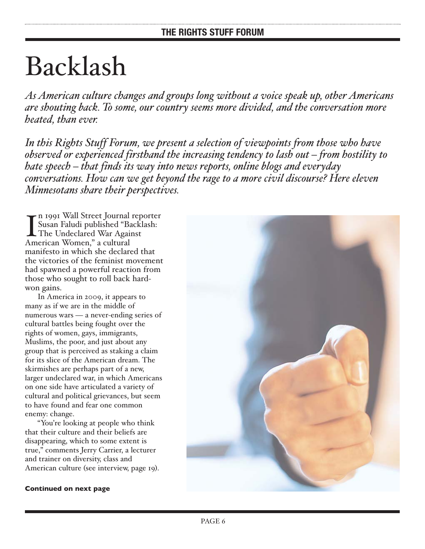## <span id="page-5-0"></span>Backlash

*As American culture changes and groups long without a voice speak up, other Americans are shouting back. To some, our country seems more divided, and the conversation more heated, than ever.* 

*In this Rights Stuff Forum, we present a selection of viewpoints from those who have observed or experienced firsthand the increasing tendency to lash out – from hostility to hate speech – that finds its way into news reports, online blogs and everyday conversations. How can we get beyond the rage to a more civil discourse? Here eleven Minnesotans share their perspectives.*

In 1991 Wall Street Journal<br>
Susan Faludi published "B<br>
The Undeclared War Agai<br>
American Women," a cultural n 1991 Wall Street Journal reporter Susan Faludi published "Backlash: The Undeclared War Against manifesto in which she declared that the victories of the feminist movement had spawned a powerful reaction from those who sought to roll back hardwon gains.

In America in 2009, it appears to many as if we are in the middle of numerous wars — a never-ending series of cultural battles being fought over the rights of women, gays, immigrants, Muslims, the poor, and just about any group that is perceived as staking a claim for its slice of the American dream. The skirmishes are perhaps part of a new, larger undeclared war, in which Americans on one side have articulated a variety of cultural and political grievances, but seem to have found and fear one common enemy: change.

"You're looking at people who think that their culture and their beliefs are disappearing, which to some extent is true," comments Jerry Carrier, a lecturer and trainer on diversity, class and American culture (see interview, page 19).

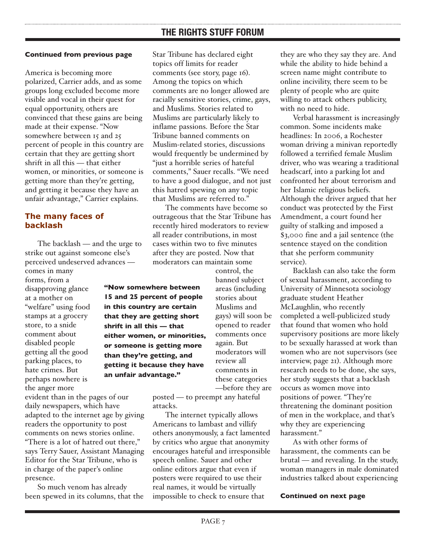America is becoming more polarized, Carrier adds, and as some groups long excluded become more visible and vocal in their quest for equal opportunity, others are convinced that these gains are being made at their expense. "Now somewhere between 15 and 25 percent of people in this country are certain that they are getting short shrift in all this — that either women, or minorities, or someone is getting more than they're getting, and getting it because they have an unfair advantage," Carrier explains.

#### **The many faces of backlash**

The backlash — and the urge to strike out against someone else's perceived undeserved advances comes in many forms, from a disapproving glance at a mother on "welfare" using food stamps at a grocery store, to a snide comment about disabled people getting all the good parking places, to hate crimes. But perhaps nowhere is the anger more

evident than in the pages of our daily newspapers, which have adapted to the internet age by giving readers the opportunity to post comments on news stories online. "There is a lot of hatred out there," says Terry Sauer, Assistant Managing Editor for the Star Tribune, who is in charge of the paper's online presence.

So much venom has already been spewed in its columns, that the Star Tribune has declared eight topics off limits for reader comments (see story, page 16). Among the topics on which comments are no longer allowed are racially sensitive stories, crime, gays, and Muslims. Stories related to Muslims are particularly likely to inflame passions. Before the Star Tribune banned comments on Muslim-related stories, discussions would frequently be undermined by "just a horrible series of hateful comments," Sauer recalls. "We need to have a good dialogue, and not just this hatred spewing on any topic that Muslims are referred to."

The comments have become so outrageous that the Star Tribune has recently hired moderators to review all reader contributions, in most cases within two to five minutes after they are posted. Now that moderators can maintain some

**"Now somewhere between 15 and 25 percent of people in this country are certain that they are getting short shrift in all this — that either women, or minorities, or someone is getting more than they're getting, and getting it because they have an unfair advantage."**

control, the banned subject areas (including stories about Muslims and gays) will soon be opened to reader comments once again. But moderators will review all comments in these categories —before they are

posted — to preempt any hateful attacks.

The internet typically allows Americans to lambast and villify others anonymously, a fact lamented by critics who argue that anonymity encourages hateful and irresponsible speech online. Sauer and other online editors argue that even if posters were required to use their real names, it would be virtually impossible to check to ensure that

they are who they say they are. And while the ability to hide behind a screen name might contribute to online incivility, there seem to be plenty of people who are quite willing to attack others publicity, with no need to hide.

Verbal harassment is increasingly common. Some incidents make headlines: In 2006, a Rochester woman driving a minivan reportedly followed a terrified female Muslim driver, who was wearing a traditional headscarf, into a parking lot and confronted her about terrorism and her Islamic religious beliefs. Although the driver argued that her conduct was protected by the First Amendment, a court found her guilty of stalking and imposed a \$3,000 fine and a jail sentence (the sentence stayed on the condition that she perform community service).

Backlash can also take the form of sexual harassment, according to University of Minnesota sociology graduate student Heather McLaughlin, who recently completed a well-publicized study that found that women who hold supervisory positions are more likely to be sexually harassed at work than women who are not supervisors (see interview, page 21). Although more research needs to be done, she says, her study suggests that a backlash occurs as women move into positions of power. "They're threatening the dominant position of men in the workplace, and that's why they are experiencing harassment."

As with other forms of harassment, the comments can be brutal — and revealing. In the study, woman managers in male dominated industries talked about experiencing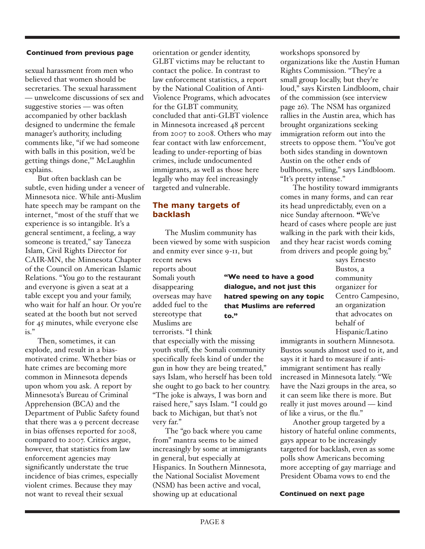sexual harassment from men who believed that women should be secretaries. The sexual harassment — unwelcome discussions of sex and suggestive stories — was often accompanied by other backlash designed to undermine the female manager's authority, including comments like, "if we had someone with balls in this position, we'd be getting things done,'" McLaughlin explains.

But often backlash can be subtle, even hiding under a veneer of Minnesota nice. While anti-Muslim hate speech may be rampant on the internet, "most of the stuff that we experience is so intangible. It's a general sentiment, a feeling, a way someone is treated," say Taneeza Islam, Civil Rights Director for CAIR-MN, the Minnesota Chapter of the Council on American Islamic Relations. "You go to the restaurant and everyone is given a seat at a table except you and your family, who wait for half an hour. Or you're seated at the booth but not served for 45 minutes, while everyone else is."

Then, sometimes, it can explode, and result in a biasmotivated crime. Whether bias or hate crimes are becoming more common in Minnesota depends upon whom you ask. A report by Minnesota's Bureau of Criminal Apprehension (BCA) and the Department of Public Safety found that there was a 9 percent decrease in bias offenses reported for 2008, compared to 2007. Critics argue, however, that statistics from law enforcement agencies may significantly understate the true incidence of bias crimes, especially violent crimes. Because they may not want to reveal their sexual

orientation or gender identity, GLBT victims may be reluctant to contact the police. In contrast to law enforcement statistics, a report by the National Coalition of Anti-Violence Programs, which advocates for the GLBT community, concluded that anti-GLBT violence in Minnesota increased 48 percent from 2007 to 2008. Others who may fear contact with law enforcement, leading to under-reporting of bias crimes, include undocumented immigrants, as well as those here legally who may feel increasingly targeted and vulnerable.

#### **The many targets of backlash**

The Muslim community has been viewed by some with suspicion and enmity ever since 9-11, but

> **"We need to have a good dialogue, and not just this hatred spewing on any topic that Muslims are referred**

recent news reports about Somali youth disappearing overseas may have added fuel to the stereotype that Muslims are terrorists. "I think

that especially with the missing youth stuff, the Somali community specifically feels kind of under the gun in how they are being treated," says Islam, who herself has been told she ought to go back to her country. "The joke is always, I was born and raised here," says Islam. "I could go back to Michigan, but that's not very far."

**to."**

The "go back where you came from" mantra seems to be aimed increasingly by some at immigrants in general, but especially at Hispanics. In Southern Minnesota, the National Socialist Movement (NSM) has been active and vocal, showing up at educational

workshops sponsored by organizations like the Austin Human Rights Commission. "They're a small group locally, but they're loud," says Kirsten Lindbloom, chair of the commission (see interview page 26). The NSM has organized rallies in the Austin area, which has brought organizations seeking immigration reform out into the streets to oppose them. "You've got both sides standing in downtown Austin on the other ends of bullhorns, yelling," says Lindbloom. "It's pretty intense."

The hostility toward immigrants comes in many forms, and can rear its head unpredictably, even on a nice Sunday afternoon. "We've heard of cases where people are just walking in the park with their kids, and they hear racist words coming from drivers and people going by,"

> says Ernesto Bustos, a community organizer for Centro Campesino, an organization that advocates on behalf of Hispanic/Latino

immigrants in southern Minnesota. Bustos sounds almost used to it, and says it it hard to measure if antiimmigrant sentiment has really increased in Minnesota lately. "We have the Nazi groups in the area, so it can seem like there is more. But really it just moves around — kind of like a virus, or the flu."

Another group targeted by a history of hateful online comments, gays appear to be increasingly targeted for backlash, even as some polls show Americans becoming more accepting of gay marriage and President Obama vows to end the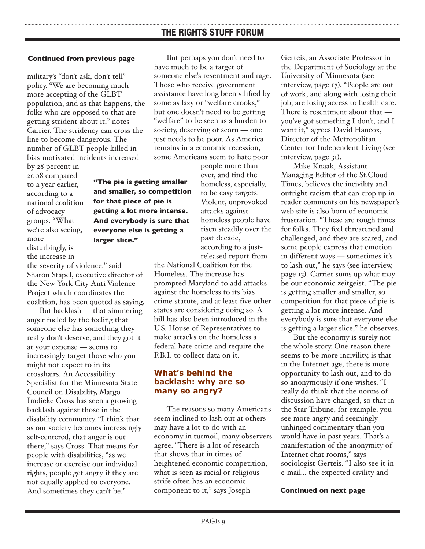military's "don't ask, don't tell" policy. "We are becoming much more accepting of the GLBT population, and as that happens, the folks who are opposed to that are getting strident about it," notes Carrier. The stridency can cross the line to become dangerous. The number of GLBT people killed in bias-motivated incidents increased

> **"The pie is getting smaller and smaller, so competition**

**for that piece of pie is getting a lot more intense. And everybody is sure that everyone else is getting a**

**larger slice."**

by 28 percent in 2008 compared to a year earlier, according to a national coalition of advocacy groups. "What we're also seeing, more disturbingly, is the increase in

the severity of violence," said Sharon Stapel, executive director of the New York City Anti-Violence Project which coordinates the coalition, has been quoted as saying.

But backlash — that simmering anger fueled by the feeling that someone else has something they really don't deserve, and they got it at your expense — seems to increasingly target those who you might not expect to in its crosshairs. An Accessibility Specialist for the Minnesota State Council on Disability, Margo Imdieke Cross has seen a growing backlash against those in the disability community. "I think that as our society becomes increasingly self-centered, that anger is out there," says Cross. That means for people with disabilities, "as we increase or exercise our individual rights, people get angry if they are not equally applied to everyone. And sometimes they can't be."

But perhaps you don't need to have much to be a target of someone else's resentment and rage. Those who receive government assistance have long been vilified by some as lazy or "welfare crooks," but one doesn't need to be getting "welfare" to be seen as a burden to society, deserving of scorn — one just needs to be poor. As America remains in a economic recession, some Americans seem to hate poor

> people more than ever, and find the homeless, especially, to be easy targets. Violent, unprovoked attacks against homeless people have risen steadily over the past decade, according to a justreleased report from

the National Coalition for the Homeless. The increase has prompted Maryland to add attacks against the homeless to its bias crime statute, and at least five other states are considering doing so. A bill has also been introduced in the U.S. House of Representatives to make attacks on the homeless a federal hate crime and require the F.B.I. to collect data on it.

#### **What's behind the backlash: why are so many so angry?**

The reasons so many Americans seem inclined to lash out at others may have a lot to do with an economy in turmoil, many observers agree. "There is a lot of research that shows that in times of heightened economic competition, what is seen as racial or religious strife often has an economic component to it," says Joseph

Gerteis, an Associate Professor in the Department of Sociology at the University of Minnesota (see interview, page 17). "People are out of work, and along with losing their job, are losing access to health care. There is resentment about that you've got something I don't, and I want it," agrees David Hancox, Director of the Metropolitan Center for Independent Living (see interview, page 31).

Mike Knaak, Assistant Managing Editor of the St.Cloud Times, believes the incivility and outright racism that can crop up in reader comments on his newspaper's web site is also born of economic frustration. "These are tough times for folks. They feel threatened and challenged, and they are scared, and some people express that emotion in different ways — sometimes it's to lash out," he says (see interview, page 13). Carrier sums up what may be our economic zeitgeist. "The pie is getting smaller and smaller, so competition for that piece of pie is getting a lot more intense. And everybody is sure that everyone else is getting a larger slice," he observes.

But the economy is surely not the whole story. One reason there seems to be more incivility, is that in the Internet age, there is more opportunity to lash out, and to do so anonymously if one wishes. "I really do think that the norms of discussion have changed, so that in the Star Tribune, for example, you see more angry and seemingly unhinged commentary than you would have in past years. That's a manifestation of the anonymity of Internet chat rooms," says sociologist Gerteis. "I also see it in e-mail... the expected civility and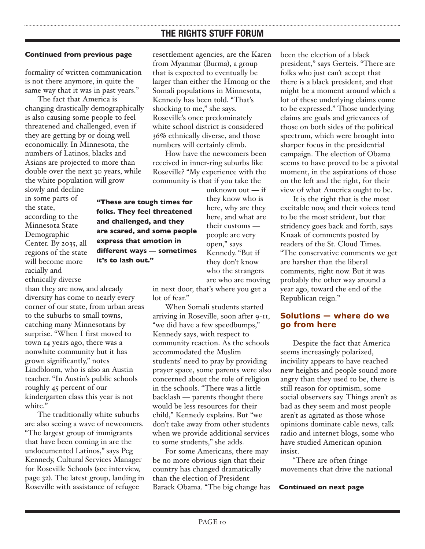For some Americans, there may be no more obvious sign that their country has changed dramatically than the election of President Barack Obama. "The big change has

## **THE RIGHTS STUFF FORUM**

#### **Continued from previous page**

formality of written communication is not there anymore, in quite the same way that it was in past years."

The fact that America is changing drastically demographically is also causing some people to feel threatened and challenged, even if they are getting by or doing well economically. In Minnesota, the numbers of Latinos, blacks and Asians are projected to more than double over the next 30 years, while the white population will grow

slowly and decline in some parts of the state, according to the Minnesota State Demographic Center. By 2035, all regions of the state will become more racially and ethnically diverse

than they are now, and already diversity has come to nearly every corner of our state, from urban areas to the suburbs to small towns, catching many Minnesotans by surprise. "When I first moved to town 14 years ago, there was a nonwhite community but it has grown significantly," notes Lindbloom, who is also an Austin teacher. "In Austin's public schools roughly 45 percent of our kindergarten class this year is not white."

**it's to lash out."**

The traditionally white suburbs are also seeing a wave of newcomers. "The largest group of immigrants that have been coming in are the undocumented Latinos," says Peg Kennedy, Cultural Services Manager for Roseville Schools (see interview, page 32). The latest group, landing in Roseville with assistance of refugee

resettlement agencies, are the Karen from Myanmar (Burma), a group that is expected to eventually be larger than either the Hmong or the Somali populations in Minnesota, Kennedy has been told. "That's shocking to me," she says. Roseville's once predominately white school district is considered 36% ethnically diverse, and those numbers will certainly climb.

How have the newcomers been received in inner-ring suburbs like Roseville? "My experience with the community is that if you take the

unknown out — if they know who is here, why are they here, and what are their customs people are very open," says Kennedy. "But if they don't know who the strangers **"These are tough times for folks. They feel threatened and challenged, and they are scared, and some people express that emotion in different ways — sometimes**

> in next door, that's where you get a lot of fear."

are who are moving

When Somali students started arriving in Roseville, soon after 9-11, "we did have a few speedbumps," Kennedy says, with respect to community reaction. As the schools accommodated the Muslim students' need to pray by providing prayer space, some parents were also concerned about the role of religion in the schools. "There was a little backlash — parents thought there would be less resources for their child," Kennedy explains. But "we don't take away from other students when we provide additional services to some students," she adds.

been the election of a black president," says Gerteis. "There are folks who just can't accept that there is a black president, and that might be a moment around which a lot of these underlying claims come to be expressed." Those underlying claims are goals and grievances of those on both sides of the political spectrum, which were brought into sharper focus in the presidential campaign. The election of Obama seems to have proved to be a pivotal moment, in the aspirations of those on the left and the right, for their view of what America ought to be.

It is the right that is the most excitable now, and their voices tend to be the most strident, but that stridency goes back and forth, says Knaak of comments posted by readers of the St. Cloud Times. "The conservative comments we get are harsher than the liberal comments, right now. But it was probably the other way around a year ago, toward the end of the Republican reign."

#### **Solutions — where do we go from here**

Despite the fact that America seems increasingly polarized, incivility appears to have reached new heights and people sound more angry than they used to be, there is still reason for optimism, some social observers say. Things aren't as bad as they seem and most people aren't as agitated as those whose opinions dominate cable news, talk radio and internet blogs, some who have studied American opinion insist.

"There are often fringe movements that drive the national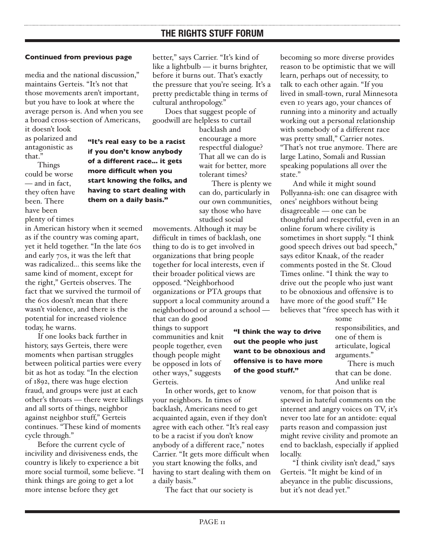media and the national discussion," maintains Gerteis. "It's not that those movements aren't important, but you have to look at where the average person is. And when you see a broad cross-section of Americans,

> **"It's real easy to be a racist if you don't know anybody of a different race... it gets more difficult when you start knowing the folks, and having to start dealing with them on a daily basis."**

it doesn't look as polarized and antagonistic as that."

Things could be worse — and in fact, they often have been. There have been plenty of times

in American history when it seemed as if the country was coming apart, yet it held together. "In the late 60s and early 70s, it was the left that was radicalized... this seems like the same kind of moment, except for the right," Gerteis observes. The fact that we survived the turmoil of the 60s doesn't mean that there wasn't violence, and there is the potential for increased violence today, he warns.

If one looks back further in history, says Gerteis, there were moments when partisan struggles between political parties were every bit as hot as today. "In the election of 1892, there was huge election fraud, and groups were just at each other's throats — there were killings and all sorts of things, neighbor against neighbor stuff," Gerteis continues. "These kind of moments cycle through."

Before the current cycle of incivility and divisiveness ends, the country is likely to experience a bit more social turmoil, some believe. "I think things are going to get a lot more intense before they get

better," says Carrier. "It's kind of like a lightbulb — it burns brighter, before it burns out. That's exactly the pressure that you're seeing. It's a pretty predictable thing in terms of cultural anthropology."

Does that suggest people of goodwill are helpless to curtail

> backlash and encourage a more respectful dialogue? That all we can do is wait for better, more tolerant times?

There is plenty we can do, particularly in our own communities, say those who have studied social

movements. Although it may be difficult in times of backlash, one thing to do is to get involved in organizations that bring people together for local interests, even if their broader political views are opposed. "Neighborhood organizations or PTA groups that support a local community around a neighborhood or around a school that can do good

things to support communities and knit people together, even though people might be opposed in lots of other ways," suggests Gerteis.

In other words, get to know your neighbors. In times of backlash, Americans need to get acquainted again, even if they don't agree with each other. "It's real easy to be a racist if you don't know anybody of a different race," notes Carrier. "It gets more difficult when you start knowing the folks, and having to start dealing with them on a daily basis."

The fact that our society is

becoming so more diverse provides reason to be optimistic that we will learn, perhaps out of necessity, to talk to each other again. "If you lived in small-town, rural Minnesota even 10 years ago, your chances of running into a minority and actually working out a personal relationship with somebody of a different race was pretty small," Carrier notes. "That's not true anymore. There are large Latino, Somali and Russian speaking populations all over the state."

And while it might sound Pollyanna-ish: one can disagree with ones' neighbors without being disagreeable — one can be thoughtful and respectful, even in an online forum where civility is sometimes in short supply. "I think good speech drives out bad speech," says editor Knaak, of the reader comments posted in the St. Cloud Times online. "I think the way to drive out the people who just want to be obnoxious and offensive is to have more of the good stuff." He believes that "free speech has with it

**"I think the way to drive out the people who just want to be obnoxious and offensive is to have more of the good stuff."** 

some responsibilities, and one of them is articulate, logical arguments."

There is much that can be done. And unlike real

venom, for that poison that is spewed in hateful comments on the internet and angry voices on TV, it's never too late for an antidote: equal parts reason and compassion just might revive civility and promote an end to backlash, especially if applied locally.

"I think civility isn't dead," says Gerteis. "It might be kind of in abeyance in the public discussions, but it's not dead yet."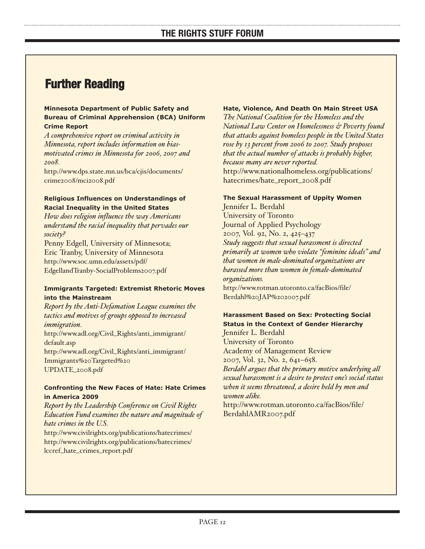## **Further Reading**

#### **Minnesota Department of Public Safety and Bureau of Criminal Apprehension (BCA) Uniform Crime Report**

*A comprehensive report on criminal activity in Minnesota, report includes information on biasmotivated crimes in Minnesota for 2006, 2007 and 2008.*

[http://www.dps.state.mn.us/bca/cjis/documents/](http://www.dps.state.mn.us/bca/cjis/documents/crime2008/mci2008.pdf) crime2008/mci2008.pdf

#### **Religious Influences on Understandings of Racial Inequality in the United States**

*How does religion influence the way Americans understand the racial inequality that pervades our society?*

Penny Edgell, University of Minnesota; Eric Tranby, University of Minnesota http://www.soc.umn.edu/assets/pdf/ [EdgellandTranby-SocialProblems2007.pdf](http://www.soc.umn.edu/assets/pdf/EdgellandTranby-SocialProblems2007.pdf)

#### **Immigrants Targeted: Extremist Rhetoric Moves into the Mainstream**

*Report by the Anti-Defamation League examines the tactics and motives of groups opposed to increased immigration.* [http://www.adl.org/Civil\\_Rights/anti\\_immigrant/](http://www.adl.org/Civil_Rights/anti_immigrant/default.asp) default.asp [http://www.adl.org/Civil\\_Rights/anti\\_immigrant/](http://www.adl.org/Civil_Rights/anti_immigrant/Immigrants%20Targeted%20UPDATE_2008.pdf) Immigrants%20Targeted%20 UPDATE\_2008.pdf

#### **Confronting the New Faces of Hate: Hate Crimes in America 2009**

*Report by the Leadership Conference on Civil Rights Education Fund examines the nature and magnitude of hate crimes in the U.S.*

<http://www.civilrights.org/publications/hatecrimes/> [http://www.civilrights.org/publications/hatecrimes/](http://www.civilrights.org/publications/hatecrimes/lccref_hate_crimes_report.pdf) lccref\_hate\_crimes\_report.pdf

#### **Hate, Violence, And Death On Main Street USA**

*The National Coalition for the Homeless and the National Law Center on Homelessness & Poverty found that attacks against homeless people in the United States rose by 13 percent from 2006 to 2007. Study proposes that the actual number of attacks is probably higher, because many are never reported.* [http://www.nationalhomeless.org/publications/](http://www.nationalhomeless.org/publications/hatecrimes/hate_report_2008.pdf) hatecrimes/hate\_report\_2008.pdf

#### **The Sexual Harassment of Uppity Women**

Jennifer L. Berdahl University of Toronto Journal of Applied Psychology 2007, Vol. 92, No. 2, 425–437 *Study suggests that sexual harassment is directed primarily at women who violate "feminine ideals" and that women in male-dominated organizations are harassed more than women in female-dominated organizations.* [http://www.rotman.utoronto.ca/facBios/file/](http://www.rotman.utoronto.ca/facBios/file/Berdahl%20JAP%202007.pdf) Berdahl%20JAP%202007.pdf

#### **Harassment Based on Sex: Protecting Social Status in the Context of Gender Hierarchy**

Jennifer L. Berdahl University of Toronto Academy of Management Review 2007, Vol. 32, No. 2, 641–658. *Berdahl argues that the primary motive underlying all sexual harassment is a desire to protect one's social status when it seems threatened, a desire held by men and women alike.* [http://www.rotman.utoronto.ca/facBios/file/](http://www.rotman.utoronto.ca/facBios/file/BerdahlAMR2007.pdf) BerdahlAMR2007.pdf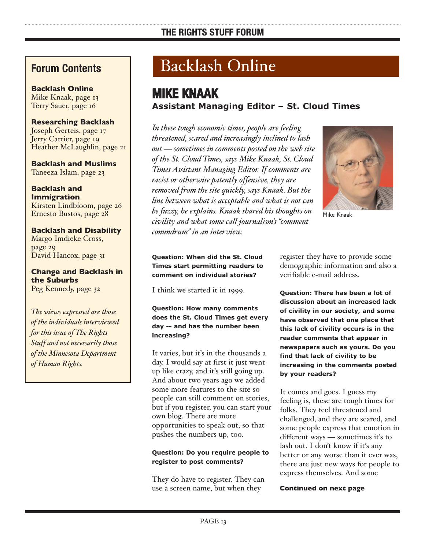## **Forum Contents**

**Backlash Online** Mike Knaak, page 13 Terry Sauer, page 16

#### **Researching Backlash** Joseph Gerteis, page 17 Jerry Carrier, page 19 Heather McLaughlin, page 21

**Backlash and Muslims** Taneeza Islam, page 23

**Backlash and Immigration** Kirsten Lindbloom, page 26 Ernesto Bustos, page 28

**Backlash and Disability** Margo Imdieke Cross, page 29 David Hancox, page 31

**Change and Backlash in the Suburbs** Peg Kennedy, page 32

*The views expressed are those of the individuals interviewed for this issue of The Rights Stuff and not necessarily those of the Minnesota Department of Human Rights.*

## Backlash Online

## **MIKE KNAAK Assistant Managing Editor – St. Cloud Times**

*In these tough economic times, people are feeling threatened, scared and increasingly inclined to lash out — sometimes in comments posted on the web site of the St. Cloud Times, says Mike Knaak, St. Cloud Times Assistant Managing Editor. If comments are racist or otherwise patently offensive, they are removed from the site quickly, says Knaak. But the line between what is acceptable and what is not can be fuzzy, he explains. Knaak shared his thoughts on civility and what some call journalism's "comment*

*conundrum" in an interview.*



Mike Knaak

**Question: When did the St. Cloud Times start permitting readers to comment on individual stories?**

I think we started it in 1999.

#### **Question: How many comments does the St. Cloud Times get every day -- and has the number been increasing?**

It varies, but it's in the thousands a day. I would say at first it just went up like crazy, and it's still going up. And about two years ago we added some more features to the site so people can still comment on stories, but if you register, you can start your own blog. There are more opportunities to speak out, so that pushes the numbers up, too.

#### **Question: Do you require people to register to post comments?**

They do have to register. They can use a screen name, but when they

register they have to provide some demographic information and also a verifiable e-mail address.

**Question: There has been a lot of discussion about an increased lack of civility in our society, and some have observed that one place that this lack of civility occurs is in the reader comments that appear in newspapers such as yours. Do you find that lack of civility to be increasing in the comments posted by your readers?**

It comes and goes. I guess my feeling is, these are tough times for folks. They feel threatened and challenged, and they are scared, and some people express that emotion in different ways — sometimes it's to lash out. I don't know if it's any better or any worse than it ever was, there are just new ways for people to express themselves. And some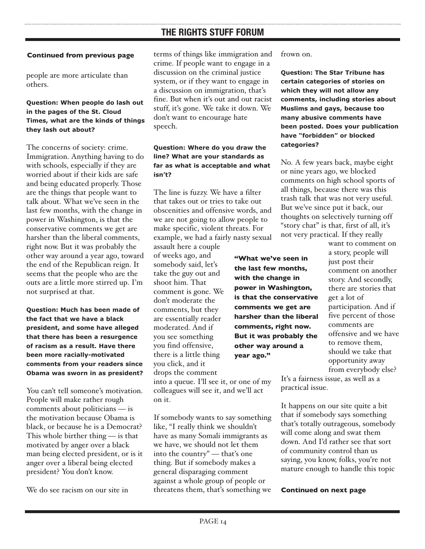#### **Continued from previous page**

people are more articulate than others.

#### **Question: When people do lash out in the pages of the St. Cloud Times, what are the kinds of things they lash out about?**

The concerns of society: crime. Immigration. Anything having to do with schools, especially if they are worried about if their kids are safe and being educated properly. Those are the things that people want to talk about. What we've seen in the last few months, with the change in power in Washington, is that the conservative comments we get are harsher than the liberal comments, right now. But it was probably the other way around a year ago, toward the end of the Republican reign. It seems that the people who are the outs are a little more stirred up. I'm not surprised at that.

**Question: Much has been made of the fact that we have a black president, and some have alleged that there has been a resurgence of racism as a result. Have there been more racially-motivated comments from your readers since Obama was sworn in as president?**

You can't tell someone's motivation. People will make rather rough comments about politicians — is the motivation because Obama is black, or because he is a Democrat? This whole birther thing — is that motivated by anger over a black man being elected president, or is it anger over a liberal being elected president? You don't know.

We do see racism on our site in

terms of things like immigration and crime. If people want to engage in a discussion on the criminal justice system, or if they want to engage in a discussion on immigration, that's fine. But when it's out and out racist stuff, it's gone. We take it down. We don't want to encourage hate speech.

#### **Question: Where do you draw the line? What are your standards as far as what is acceptable and what isn't?**

The line is fuzzy. We have a filter that takes out or tries to take out obscenities and offensive words, and we are not going to allow people to make specific, violent threats. For example, we had a fairly nasty sexual

assault here a couple of weeks ago, and somebody said, let's take the guy out and shoot him. That comment is gone. We don't moderate the comments, but they are essentially reader moderated. And if you see something you find offensive, there is a little thing you click, and it drops the comment

into a queue. I'll see it, or one of my colleagues will see it, and we'll act on it.

If somebody wants to say something like, "I really think we shouldn't have as many Somali immigrants as we have, we should not let them into the country" — that's one thing. But if somebody makes a general disparaging comment against a whole group of people or threatens them, that's something we

frown on.

**Question: The Star Tribune has certain categories of stories on which they will not allow any comments, including stories about Muslims and gays, because too many abusive comments have been posted. Does your publication have "forbidden" or blocked categories?**

No. A few years back, maybe eight or nine years ago, we blocked comments on high school sports of all things, because there was this trash talk that was not very useful. But we've since put it back, our thoughts on selectively turning off "story chat" is that, first of all, it's not very practical. If they really

**"What we've seen in the last few months, with the change in power in Washington, is that the conservative comments we get are harsher than the liberal comments, right now. But it was probably the other way around a year ago."**

want to comment on a story, people will just post their comment on another story. And secondly, there are stories that get a lot of participation. And if five percent of those comments are offensive and we have to remove them, should we take that opportunity away from everybody else?

It's a fairness issue, as well as a practical issue.

It happens on our site quite a bit that if somebody says something that's totally outrageous, somebody will come along and swat them down. And I'd rather see that sort of community control than us saying, you know, folks, you're not mature enough to handle this topic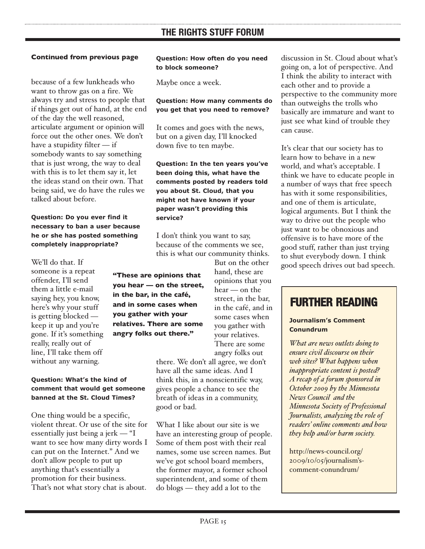because of a few lunkheads who want to throw gas on a fire. We always try and stress to people that if things get out of hand, at the end of the day the well reasoned, articulate argument or opinion will force out the other ones. We don't have a stupidity filter — if somebody wants to say something that is just wrong, the way to deal with this is to let them say it, let the ideas stand on their own. That being said, we do have the rules we talked about before.

#### **Question: Do you ever find it necessary to ban a user because he or she has posted something completely inappropriate?**

We'll do that. If someone is a repeat offender, I'll send them a little e-mail saying hey, you know, here's why your stuff is getting blocked keep it up and you're gone. If it's something really, really out of line, I'll take them off without any warning.

#### **Question: What's the kind of comment that would get someone banned at the St. Cloud Times?**

One thing would be a specific, violent threat. Or use of the site for essentially just being a jerk — "I want to see how many dirty words I can put on the Internet." And we don't allow people to put up anything that's essentially a promotion for their business. That's not what story chat is about.

#### **Question: How often do you need to block someone?**

Maybe once a week.

#### **Question: How many comments do you get that you need to remove?**

It comes and goes with the news, but on a given day, I'll knocked down five to ten maybe.

**Question: In the ten years you've been doing this, what have the comments posted by readers told you about St. Cloud, that you might not have known if your paper wasn't providing this service?**

I don't think you want to say, because of the comments we see, this is what our community thinks.

**"These are opinions that you hear — on the street, in the bar, in the café, and in some cases when you gather with your relatives. There are some angry folks out there."**

But on the other hand, these are opinions that you hear — on the street, in the bar, in the café, and in some cases when you gather with your relatives. There are some angry folks out

there. We don't all agree, we don't have all the same ideas. And I think this, in a nonscientific way, gives people a chance to see the breath of ideas in a community, good or bad.

What I like about our site is we have an interesting group of people. Some of them post with their real names, some use screen names. But we've got school board members, the former mayor, a former school superintendent, and some of them do blogs — they add a lot to the

discussion in St. Cloud about what's going on, a lot of perspective. And I think the ability to interact with each other and to provide a perspective to the community more than outweighs the trolls who basically are immature and want to just see what kind of trouble they can cause.

It's clear that our society has to learn how to behave in a new world, and what's acceptable. I think we have to educate people in a number of ways that free speech has with it some responsibilities, and one of them is articulate, logical arguments. But I think the way to drive out the people who just want to be obnoxious and offensive is to have more of the good stuff, rather than just trying to shut everybody down. I think good speech drives out bad speech.

## **FURTHER READING**

#### **Journalism's Comment Conundrum**

*What are news outlets doing to ensure civil discourse on their web sites? What happens when inappropriate content is posted? A recap of a forum sponsored in October 2009 by the Minnesota News Council and the Minnesota Society of Professional Journalists, analyzing the role of readers' online comments and how they help and/or harm society.*

http://news-council.org/ [2009/10/05/journalism's](http://news-council.org/2009/10/05/journalism%E2%80%99s-comment-conundrum/)comment-conundrum/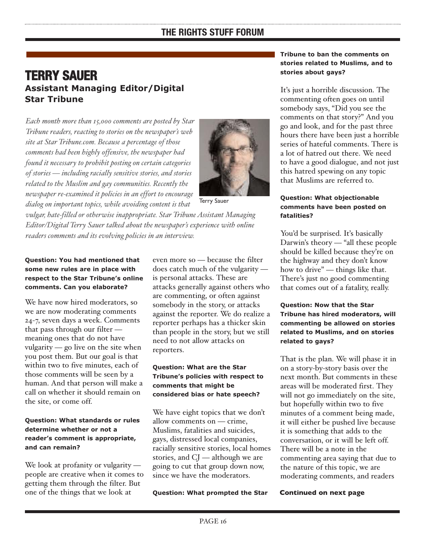## **TERRY SAUER Assistant Managing Editor/Digital Star Tribune**

*Each month more than 15,000 comments are posted by Star Tribune readers, reacting to stories on the newspaper's web site at Star Tribune.com. Because a percentage of those comments had been highly offensive, the newspaper had found it necessary to prohibit posting on certain categories of stories — including racially sensitive stories, and stories related to the Muslim and gay communities. Recently the newspaper re-examined it policies in an effort to encourage dialog on important topics, while avoiding content is that*



Terry Sauer

*vulgar, hate-filled or otherwise inappropriate. Star Tribune Assistant Managing Editor/Digital Terry Sauer talked about the newspaper's experience with online readers comments and its evolving policies in an interview.*

#### **Question: You had mentioned that some new rules are in place with respect to the Star Tribune's online comments. Can you elaborate?**

We have now hired moderators, so we are now moderating comments 24-7, seven days a week. Comments that pass through our filter meaning ones that do not have vulgarity — go live on the site when you post them. But our goal is that within two to five minutes, each of those comments will be seen by a human. And that person will make a call on whether it should remain on the site, or come off.

#### **Question: What standards or rules determine whether or not a reader's comment is appropriate, and can remain?**

We look at profanity or vulgarity people are creative when it comes to getting them through the filter. But one of the things that we look at

even more so — because the filter does catch much of the vulgarity is personal attacks. These are attacks generally against others who are commenting, or often against somebody in the story, or attacks against the reporter. We do realize a reporter perhaps has a thicker skin than people in the story, but we still need to not allow attacks on reporters.

#### **Question: What are the Star Tribune's policies with respect to comments that might be considered bias or hate speech?**

We have eight topics that we don't allow comments on — crime, Muslims, fatalities and suicides, gays, distressed local companies, racially sensitive stories, local homes stories, and CJ — although we are going to cut that group down now, since we have the moderators.

**Question: What prompted the Star**

#### **Tribune to ban the comments on stories related to Muslims, and to stories about gays?**

It's just a horrible discussion. The commenting often goes on until somebody says, "Did you see the comments on that story?" And you go and look, and for the past three hours there have been just a horrible series of hateful comments. There is a lot of hatred out there. We need to have a good dialogue, and not just this hatred spewing on any topic that Muslims are referred to.

#### **Question: What objectionable comments have been posted on fatalities?**

You'd be surprised. It's basically Darwin's theory — "all these people should be killed because they're on the highway and they don't know how to drive" — things like that. There's just no good commenting that comes out of a fatality, really.

#### **Question: Now that the Star Tribune has hired moderators, will commenting be allowed on stories related to Muslims, and on stories related to gays?**

That is the plan. We will phase it in on a story-by-story basis over the next month. But comments in these areas will be moderated first. They will not go immediately on the site, but hopefully within two to five minutes of a comment being made, it will either be pushed live because it is something that adds to the conversation, or it will be left off. There will be a note in the commenting area saying that due to the nature of this topic, we are moderating comments, and readers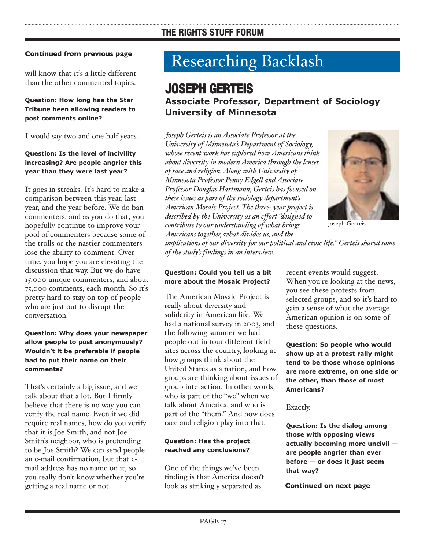will know that it's a little different than the other commented topics.

#### **Question: How long has the Star Tribune been allowing readers to post comments online?**

I would say two and one half years.

#### **Question: Is the level of incivility increasing? Are people angrier this year than they were last year?**

It goes in streaks. It's hard to make a comparison between this year, last year, and the year before. We do ban commenters, and as you do that, you hopefully continue to improve your pool of commenters because some of the trolls or the nastier commenters lose the ability to comment. Over time, you hope you are elevating the discussion that way. But we do have 15,000 unique commenters, and about 75,000 comments, each month. So it's pretty hard to stay on top of people who are just out to disrupt the conversation.

#### **Question: Why does your newspaper allow people to post anonymously? Wouldn't it be preferable if people had to put their name on their comments?**

That's certainly a big issue, and we talk about that a lot. But I firmly believe that there is no way you can verify the real name. Even if we did require real names, how do you verify that it is Joe Smith, and not Joe Smith's neighbor, who is pretending to be Joe Smith? We can send people an e-mail confirmation, but that email address has no name on it, so you really don't know whether you're getting a real name or not.

## Researching Backlash

## **JOSEPH GERTEIS**

#### **Associate Professor, Department of Sociology University of Minnesota**

*Joseph Gerteis is an Associate Professor at the University of Minnesota's Department of Sociology, whose recent work has explored how Americans think about diversity in modern America through the lenses of race and religion. Along with University of Minnesota Professor Penny Edgell and Associate Professor Douglas Hartmann, Gerteis has focused on these issues as part of the sociology department's American Mosaic Project. The three- year project is described by the University as an effort "designed to contribute to our understanding of what brings Americans together, what divides us, and the*



Joseph Gerteis

*implications of our diversity for our political and civic life." Gerteis shared some of the study's findings in an interview.*

#### **Question: Could you tell us a bit more about the Mosaic Project?**

The American Mosaic Project is really about diversity and solidarity in American life. We had a national survey in 2003, and the following summer we had people out in four different field sites across the country, looking at how groups think about the United States as a nation, and how groups are thinking about issues of group interaction. In other words, who is part of the "we" when we talk about America, and who is part of the "them." And how does race and religion play into that.

#### **Question: Has the project reached any conclusions?**

One of the things we've been finding is that America doesn't look as strikingly separated as

recent events would suggest. When you're looking at the news, you see these protests from selected groups, and so it's hard to gain a sense of what the average American opinion is on some of these questions.

**Question: So people who would show up at a protest rally might tend to be those whose opinions are more extreme, on one side or the other, than those of most Americans?**

#### Exactly.

**Question: Is the dialog among those with opposing views actually becoming more uncivil are people angrier than ever before — or does it just seem that way?**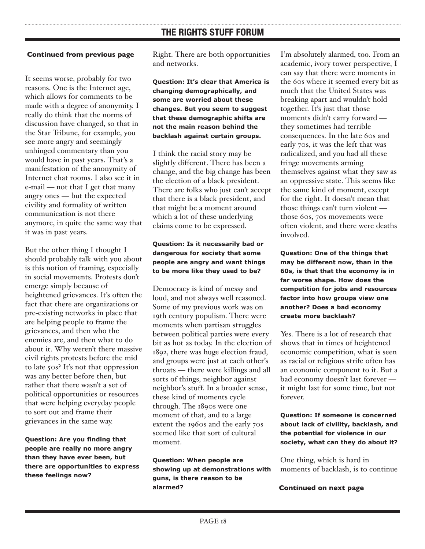#### **Continued from previous page**

It seems worse, probably for two reasons. One is the Internet age, which allows for comments to be made with a degree of anonymity. I really do think that the norms of discussion have changed, so that in the Star Tribune, for example, you see more angry and seemingly unhinged commentary than you would have in past years. That's a manifestation of the anonymity of Internet chat rooms. I also see it in e-mail — not that I get that many angry ones — but the expected civility and formality of written communication is not there anymore, in quite the same way that it was in past years.

But the other thing I thought I should probably talk with you about is this notion of framing, especially in social movements. Protests don't emerge simply because of heightened grievances. It's often the fact that there are organizations or pre-existing networks in place that are helping people to frame the grievances, and then who the enemies are, and then what to do about it. Why weren't there massive civil rights protests before the mid to late 50s? It's not that oppression was any better before then, but rather that there wasn't a set of political opportunities or resources that were helping everyday people to sort out and frame their grievances in the same way.

**Question: Are you finding that people are really no more angry than they have ever been, but there are opportunities to express these feelings now?**

Right. There are both opportunities and networks.

**Question: It's clear that America is changing demographically, and some are worried about these changes. But you seem to suggest that these demographic shifts are not the main reason behind the backlash against certain groups.**

I think the racial story may be slightly different. There has been a change, and the big change has been the election of a black president. There are folks who just can't accept that there is a black president, and that might be a moment around which a lot of these underlying claims come to be expressed.

#### **Question: Is it necessarily bad or dangerous for society that some people are angry and want things to be more like they used to be?**

Democracy is kind of messy and loud, and not always well reasoned. Some of my previous work was on 19th century populism. There were moments when partisan struggles between political parties were every bit as hot as today. In the election of 1892, there was huge election fraud, and groups were just at each other's throats — there were killings and all sorts of things, neighbor against neighbor's stuff. In a broader sense, these kind of moments cycle through. The 1890s were one moment of that, and to a large extent the 1960s and the early 70s seemed like that sort of cultural moment.

**Question: When people are showing up at demonstrations with guns, is there reason to be alarmed?**

I'm absolutely alarmed, too. From an academic, ivory tower perspective, I can say that there were moments in the 60s where it seemed every bit as much that the United States was breaking apart and wouldn't hold together. It's just that those moments didn't carry forward they sometimes had terrible consequences. In the late 60s and early 70s, it was the left that was radicalized, and you had all these fringe movements arming themselves against what they saw as an oppressive state. This seems like the same kind of moment, except for the right. It doesn't mean that those things can't turn violent those 60s, 70s movements were often violent, and there were deaths involved.

**Question: One of the things that may be different now, than in the 60s, is that that the economy is in far worse shape. How does the competition for jobs and resources factor into how groups view one another? Does a bad economy create more backlash?**

Yes. There is a lot of research that shows that in times of heightened economic competition, what is seen as racial or religious strife often has an economic component to it. But a bad economy doesn't last forever it might last for some time, but not forever.

**Question: If someone is concerned about lack of civility, backlash, and the potential for violence in our society, what can they do about it?**

One thing, which is hard in moments of backlash, is to continue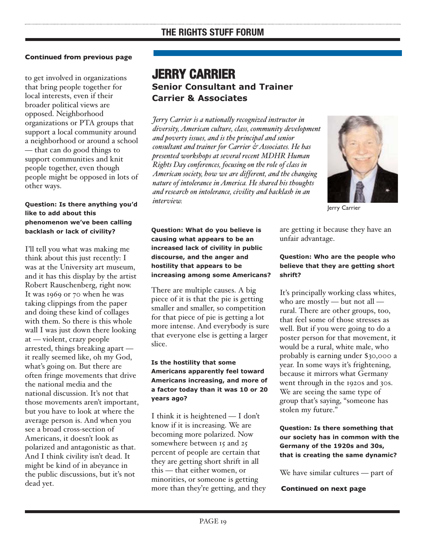to get involved in organizations that bring people together for local interests, even if their broader political views are opposed. Neighborhood organizations or PTA groups that support a local community around a neighborhood or around a school — that can do good things to support communities and knit people together, even though people might be opposed in lots of other ways.

#### **Question: Is there anything you'd like to add about this phenomenon we've been calling backlash or lack of civility?**

I'll tell you what was making me think about this just recently: I was at the University art museum, and it has this display by the artist Robert Rauschenberg, right now. It was 1969 or 70 when he was taking clippings from the paper and doing these kind of collages with them. So there is this whole wall I was just down there looking at — violent, crazy people arrested, things breaking apart it really seemed like, oh my God, what's going on. But there are often fringe movements that drive the national media and the national discussion. It's not that those movements aren't important, but you have to look at where the average person is. And when you see a broad cross-section of Americans, it doesn't look as polarized and antagonistic as that. And I think civility isn't dead. It might be kind of in abeyance in the public discussions, but it's not dead yet.

### **JERRY CARRIER Senior Consultant and Trainer Carrier & Associates**

*Jerry Carrier is a nationally recognized instructor in diversity, American culture, class, community development and poverty issues, and is the principal and senior consultant and trainer for Carrier & Associates. He has presented workshops at several recent MDHR Human Rights Day conferences, focusing on the role of class in American society, how we are different, and the changing nature of intolerance in America. He shared his thoughts and research on intolerance, civility and backlash in an interview.*



Jerry Carrier

**Question: What do you believe is causing what appears to be an increased lack of civility in public discourse, and the anger and hostility that appears to be increasing among some Americans?**

There are multiple causes. A big piece of it is that the pie is getting smaller and smaller, so competition for that piece of pie is getting a lot more intense. And everybody is sure that everyone else is getting a larger slice.

#### **Is the hostility that some Americans apparently feel toward Americans increasing, and more of a factor today than it was 10 or 20 years ago?**

I think it is heightened — I don't know if it is increasing. We are becoming more polarized. Now somewhere between 15 and 25 percent of people are certain that they are getting short shrift in all this — that either women, or minorities, or someone is getting more than they're getting, and they are getting it because they have an unfair advantage.

#### **Question: Who are the people who believe that they are getting short shrift?**

It's principally working class whites, who are mostly — but not all rural. There are other groups, too, that feel some of those stresses as well. But if you were going to do a poster person for that movement, it would be a rural, white male, who probably is earning under \$30,000 a year. In some ways it's frightening, because it mirrors what Germany went through in the 1920s and 30s. We are seeing the same type of group that's saying, "someone has stolen my future."

**Question: Is there something that our society has in common with the Germany of the 1920s and 30s, that is creating the same dynamic?**

We have similar cultures — part of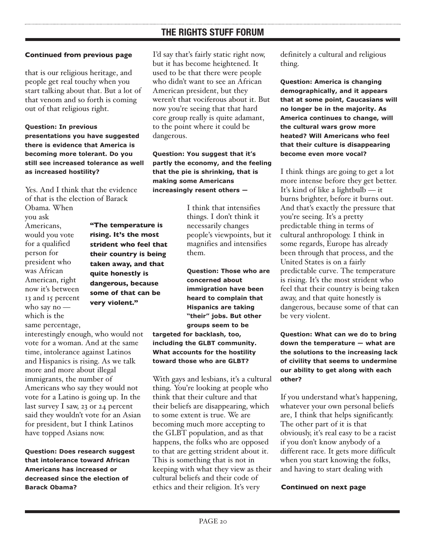that is our religious heritage, and people get real touchy when you start talking about that. But a lot of that venom and so forth is coming out of that religious right.

**Question: In previous presentations you have suggested there is evidence that America is becoming more tolerant. Do you still see increased tolerance as well as increased hostility?**

Yes. And I think that the evidence of that is the election of Barack

Obama. When you ask Americans, would you vote for a qualified person for president who was African American, right now it's between 13 and 15 percent who say no which is the same percentage,

**rising. It's the most strident who feel that their country is being taken away, and that quite honestly is dangerous, because some of that can be very violent."**

**"The temperature is**

interestingly enough, who would not vote for a woman. And at the same time, intolerance against Latinos and Hispanics is rising. As we talk more and more about illegal immigrants, the number of Americans who say they would not vote for a Latino is going up. In the last survey I saw, 23 or 24 percent said they wouldn't vote for an Asian for president, but I think Latinos have topped Asians now.

**Question: Does research suggest that intolerance toward African Americans has increased or decreased since the election of Barack Obama?**

I'd say that's fairly static right now, but it has become heightened. It used to be that there were people who didn't want to see an African American president, but they weren't that vociferous about it. But now you're seeing that that hard core group really is quite adamant, to the point where it could be dangerous.

**Question: You suggest that it's partly the economy, and the feeling that the pie is shrinking, that is making some Americans increasingly resent others —** 

> I think that intensifies things. I don't think it necessarily changes people's viewpoints, but it magnifies and intensifies them.

**Question: Those who are concerned about immigration have been heard to complain that Hispanics are taking "their" jobs. But other groups seem to be targeted for backlash, too,**

**including the GLBT community. What accounts for the hostility toward those who are GLBT?**

With gays and lesbians, it's a cultural thing. You're looking at people who think that their culture and that their beliefs are disappearing, which to some extent is true. We are becoming much more accepting to the GLBT population, and as that happens, the folks who are opposed to that are getting strident about it. This is something that is not in keeping with what they view as their cultural beliefs and their code of ethics and their religion. It's very

definitely a cultural and religious thing.

**Question: America is changing demographically, and it appears that at some point, Caucasians will no longer be in the majority. As America continues to change, will the cultural wars grow more heated? Will Americans who feel that their culture is disappearing become even more vocal?**

I think things are going to get a lot more intense before they get better. It's kind of like a lightbulb — it burns brighter, before it burns out. And that's exactly the pressure that you're seeing. It's a pretty predictable thing in terms of cultural anthropology. I think in some regards, Europe has already been through that process, and the United States is on a fairly predictable curve. The temperature is rising. It's the most strident who feel that their country is being taken away, and that quite honestly is dangerous, because some of that can be very violent.

**Question: What can we do to bring down the temperature — what are the solutions to the increasing lack of civility that seems to undermine our ability to get along with each other?**

If you understand what's happening, whatever your own personal beliefs are, I think that helps significantly. The other part of it is that obviously, it's real easy to be a racist if you don't know anybody of a different race. It gets more difficult when you start knowing the folks, and having to start dealing with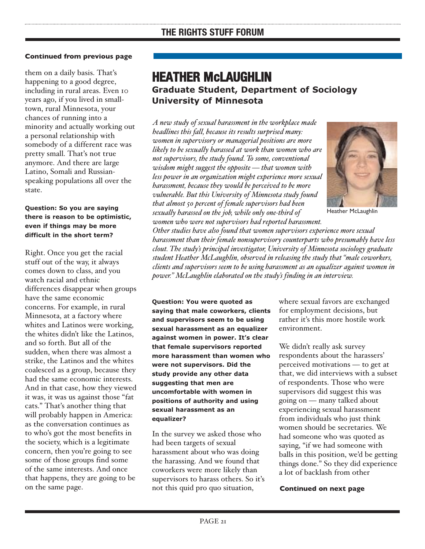them on a daily basis. That's happening to a good degree, including in rural areas. Even 10 years ago, if you lived in smalltown, rural Minnesota, your chances of running into a minority and actually working out a personal relationship with somebody of a different race was pretty small. That's not true anymore. And there are large Latino, Somali and Russianspeaking populations all over the state.

#### **Question: So you are saying there is reason to be optimistic, even if things may be more difficult in the short term?**

Right. Once you get the racial stuff out of the way, it always comes down to class, and you watch racial and ethnic differences disappear when groups have the same economic concerns. For example, in rural Minnesota, at a factory where whites and Latinos were working, the whites didn't like the Latinos, and so forth. But all of the sudden, when there was almost a strike, the Latinos and the whites coalesced as a group, because they had the same economic interests. And in that case, how they viewed it was, it was us against those "fat cats." That's another thing that will probably happen in America: as the conversation continues as to who's got the most benefits in the society, which is a legitimate concern, then you're going to see some of those groups find some of the same interests. And once that happens, they are going to be on the same page.

## **HEATHER McLAUGHLIN Graduate Student, Department of Sociology University of Minnesota**

*A new study of sexual harassment in the workplace made headlines this fall, because its results surprised many: women in supervisory or managerial positions are more likely to be sexually harassed at work than women who are not supervisors, the study found. To some, conventional wisdom might suggest the opposite — that women with less power in an organization might experience more sexual harassment, because they would be perceived to be more vulnerable. But this University of Minnesota study found that almost 50 percent of female supervisors had been sexually harassed on the job, while only one-third of women who were not supervisors had reported harassment.*



Heather McLaughlin

*Other studies have also found that women supervisors experience more sexual harassment than their female nonsupervisory counterparts who presumably have less clout. The study's principal investigator, University of Minnesota sociology graduate student Heather McLaughlin, observed in releasing the study that "male coworkers, clients and supervisors seem to be using harassment as an equalizer against women in power." McLaughlin elaborated on the study's finding in an interview.*

**Question: You were quoted as saying that male coworkers, clients and supervisors seem to be using sexual harassment as an equalizer against women in power. It's clear that female supervisors reported more harassment than women who were not supervisors. Did the study provide any other data suggesting that men are uncomfortable with women in positions of authority and using sexual harassment as an equalizer?**

In the survey we asked those who had been targets of sexual harassment about who was doing the harassing. And we found that coworkers were more likely than supervisors to harass others. So it's not this quid pro quo situation,

where sexual favors are exchanged for employment decisions, but rather it's this more hostile work environment.

We didn't really ask survey respondents about the harassers' perceived motivations — to get at that, we did interviews with a subset of respondents. Those who were supervisors did suggest this was going on — many talked about experiencing sexual harassment from individuals who just think women should be secretaries. We had someone who was quoted as saying, "if we had someone with balls in this position, we'd be getting things done." So they did experience a lot of backlash from other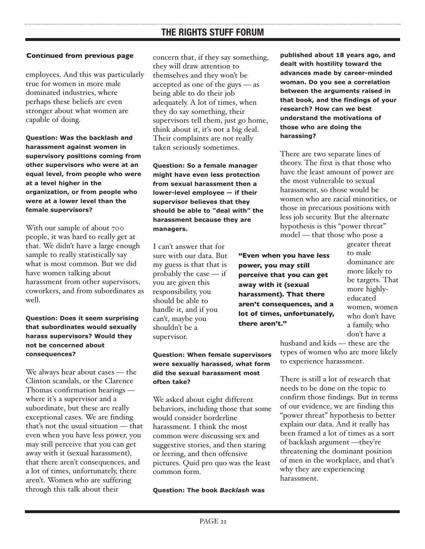employees. And this was particularly true for women in more male dominated industries, where perhaps these beliefs are even stronger about what women are capable of doing.

**Question: Was the backlash and harassment against women in supervisory positions coming from other supervisors who were at an equal level, from people who were at a level higher in the organization, or from people who were at a lower level than the female supervisors?**

With our sample of about 700 people, it was hard to really get at that. We didn't have a large enough sample to really statistically say what is most common. But we did have women talking about harassment from other supervisors, coworkers, and from subordinates as well.

**Question: Does it seem surprising that subordinates would sexually harass supervisors? Would they not be concerned about consequences?**

We always hear about cases — the Clinton scandals, or the Clarence Thomas confirmation hearings where it's a supervisor and a subordinate, but these are really exceptional cases. We are finding that's not the usual situation — that even when you have less power, you may still perceive that you can get away with it (sexual harassment), that there aren't consequences, and a lot of times, unfortunately, there aren't. Women who are suffering through this talk about their

concern that, if they say something, they will draw attention to themselves and they won't be accepted as one of the guys — as being able to do their job adequately. A lot of times, when they do say something, their supervisors tell them, just go home, think about it, it's not a big deal. Their complaints are not really taken seriously sometimes.

**Question: So a female manager might have even less protection from sexual harassment then a lower-level employee — if their supervisor believes that they should be able to "deal with" the harassment because they are managers.**

I can't answer that for sure with our data. But my guess is that that is probably the case — if you are given this responsibility, you should be able to handle it, and if you can't, maybe you shouldn't be a supervisor.

#### **Question: When female supervisors were sexually harassed, what form did the sexual harassment most often take?**

We asked about eight different behaviors, including those that some would consider borderline harassment. I think the most common were discussing sex and suggestive stories, and then staring or leering, and then offensive pictures. Quid pro quo was the least common form.

**Question: The book** *Backlash* **was**

**published about 18 years ago, and dealt with hostility toward the advances made by career-minded woman. Do you see a correlation between the arguments raised in that book, and the findings of your research? How can we best understand the motivations of those who are doing the harassing?**

There are two separate lines of theory. The first is that those who have the least amount of power are the most vulnerable to sexual harassment, so those would be women who are racial minorities, or those in precarious positions with less job security. But the alternate hypothesis is this "power threat" model — that those who pose a

**"Even when you have less power, you may still perceive that you can get away with it (sexual harassment). That there aren't consequences, and a lot of times, unfortunately, there aren't."**

greater threat to male dominance are more likely to be targets. That more highlyeducated women, women who don't have a family, who don't have a

husband and kids — these are the types of women who are more likely to experience harassment.

There is still a lot of research that needs to be done on the topic to confirm those findings. But in terms of our evidence, we are finding this "power threat" hypothesis to better explain our data. And it really has been framed a lot of times as a sort of backlash argument —they're threatening the dominant position of men in the workplace, and that's why they are experiencing harassment.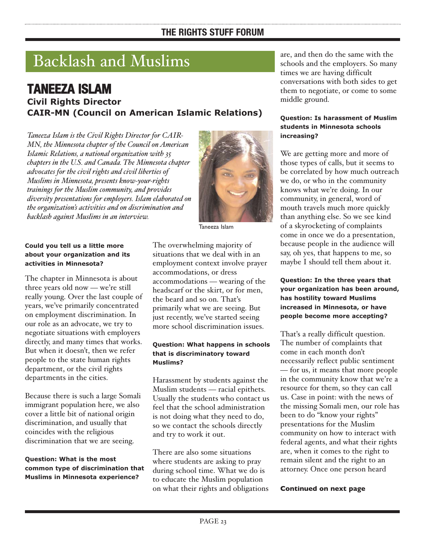## Backlash and Muslims

#### **TANEEZA ISLAM Civil Rights Director CAIR-MN (Council on American Islamic Relations)**

*Taneeza Islam is the Civil Rights Director for CAIR-MN, the Minnesota chapter of the Council on American Islamic Relations, a national organization with 35 chapters in the U.S. and Canada. The Minnesota chapter advocates for the civil rights and civil liberties of Muslims in Minnesota, presents know-your-rights trainings for the Muslim community, and provides diversity presentations for employers. Islam elaborated on the organization's activities and on discrimination and backlash against Muslims in an interview.*



Taneeza Islam

#### **Could you tell us a little more about your organization and its activities in Minnesota?**

The chapter in Minnesota is about three years old now — we're still really young. Over the last couple of years, we've primarily concentrated on employment discrimination. In our role as an advocate, we try to negotiate situations with employers directly, and many times that works. But when it doesn't, then we refer people to the state human rights department, or the civil rights departments in the cities.

Because there is such a large Somali immigrant population here, we also cover a little bit of national origin discrimination, and usually that coincides with the religious discrimination that we are seeing.

#### **Question: What is the most common type of discrimination that Muslims in Minnesota experience?**

The overwhelming majority of situations that we deal with in an employment context involve prayer accommodations, or dress accommodations — wearing of the headscarf or the skirt, or for men, the beard and so on. That's primarily what we are seeing. But just recently, we've started seeing more school discrimination issues.

#### **Question: What happens in schools that is discriminatory toward Muslims?**

Harassment by students against the Muslim students — racial epithets. Usually the students who contact us feel that the school administration is not doing what they need to do, so we contact the schools directly and try to work it out.

There are also some situations where students are asking to pray during school time. What we do is to educate the Muslim population on what their rights and obligations are, and then do the same with the schools and the employers. So many times we are having difficult conversations with both sides to get them to negotiate, or come to some middle ground.

#### **Question: Is harassment of Muslim students in Minnesota schools increasing?**

We are getting more and more of those types of calls, but it seems to be correlated by how much outreach we do, or who in the community knows what we're doing. In our community, in general, word of mouth travels much more quickly than anything else. So we see kind of a skyrocketing of complaints come in once we do a presentation, because people in the audience will say, oh yes, that happens to me, so maybe I should tell them about it.

#### **Question: In the three years that your organization has been around, has hostility toward Muslims increased in Minnesota, or have people become more accepting?**

That's a really difficult question. The number of complaints that come in each month don't necessarily reflect public sentiment — for us, it means that more people in the community know that we're a resource for them, so they can call us. Case in point: with the news of the missing Somali men, our role has been to do "know your rights" presentations for the Muslim community on how to interact with federal agents, and what their rights are, when it comes to the right to remain silent and the right to an attorney. Once one person heard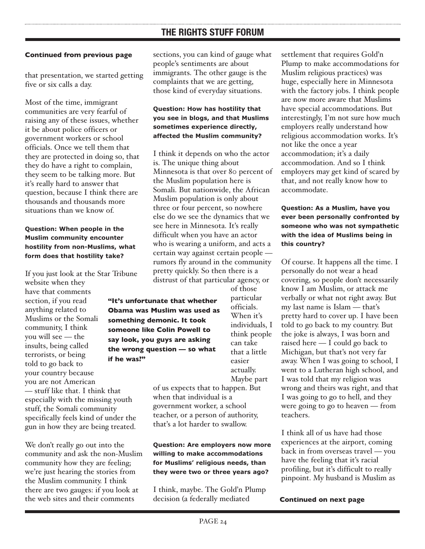#### **Continued from previous page**

that presentation, we started getting five or six calls a day.

Most of the time, immigrant communities are very fearful of raising any of these issues, whether it be about police officers or government workers or school officials. Once we tell them that they are protected in doing so, that they do have a right to complain, they seem to be talking more. But it's really hard to answer that question, because I think there are thousands and thousands more situations than we know of.

#### **Question: When people in the Muslim community encounter hostility from non-Muslims, what form does that hostility take?**

If you just look at the Star Tribune website when they

have that comments section, if you read anything related to Muslims or the Somali community, I think you will see — the insults, being called terrorists, or being told to go back to your country because you are not American — stuff like that. I think that especially with the missing youth stuff, the Somali community specifically feels kind of under the gun in how they are being treated.

We don't really go out into the community and ask the non-Muslim community how they are feeling; we're just hearing the stories from the Muslim community. I think there are two gauges: if you look at the web sites and their comments

sections, you can kind of gauge what people's sentiments are about immigrants. The other gauge is the complaints that we are getting, those kind of everyday situations.

#### **Question: How has hostility that you see in blogs, and that Muslims sometimes experience directly, affected the Muslim community?**

I think it depends on who the actor is. The unique thing about Minnesota is that over 80 percent of the Muslim population here is Somali. But nationwide, the African Muslim population is only about three or four percent, so nowhere else do we see the dynamics that we see here in Minnesota. It's really difficult when you have an actor who is wearing a uniform, and acts a certain way against certain people rumors fly around in the community pretty quickly. So then there is a distrust of that particular agency, or

**"It's unfortunate that whether Obama was Muslim was used as something demonic. It took someone like Colin Powell to say look, you guys are asking the wrong question — so what if he was?"**

of those particular officials. When it's individuals, I think people can take that a little easier actually. Maybe part

of us expects that to happen. But when that individual is a government worker, a school teacher, or a person of authority, that's a lot harder to swallow.

#### **Question: Are employers now more willing to make accommodations for Muslims' religious needs, than they were two or three years ago?**

I think, maybe. The Gold'n Plump decision (a federally mediated

settlement that requires Gold'n Plump to make accommodations for Muslim religious practices) was huge, especially here in Minnesota with the factory jobs. I think people are now more aware that Muslims have special accommodations. But interestingly, I'm not sure how much employers really understand how religious accommodation works. It's not like the once a year accommodation; it's a daily accommodation. And so I think employers may get kind of scared by that, and not really know how to accommodate.

#### **Question: As a Muslim, have you ever been personally confronted by someone who was not sympathetic with the idea of Muslims being in this country?**

Of course. It happens all the time. I personally do not wear a head covering, so people don't necessarily know I am Muslim, or attack me verbally or what not right away. But my last name is Islam — that's pretty hard to cover up. I have been told to go back to my country. But the joke is always, I was born and raised here — I could go back to Michigan, but that's not very far away. When I was going to school, I went to a Lutheran high school, and I was told that my religion was wrong and theirs was right, and that I was going to go to hell, and they were going to go to heaven — from teachers.

I think all of us have had those experiences at the airport, coming back in from overseas travel — you have the feeling that it's racial profiling, but it's difficult to really pinpoint. My husband is Muslim as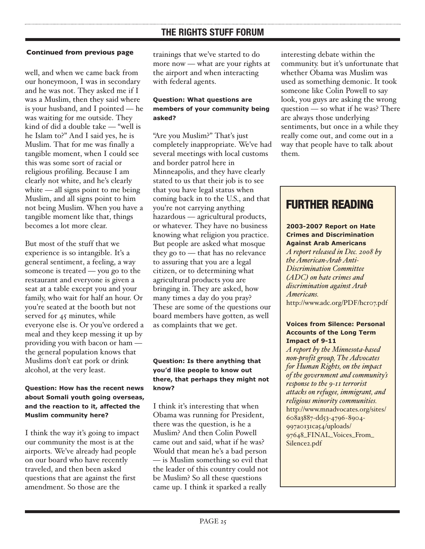well, and when we came back from our honeymoon, I was in secondary and he was not. They asked me if I was a Muslim, then they said where is your husband, and I pointed — he was waiting for me outside. They kind of did a double take — "well is he Islam to?" And I said yes, he is Muslim. That for me was finally a tangible moment, when I could see this was some sort of racial or religious profiling. Because I am clearly not white, and he's clearly white — all signs point to me being Muslim, and all signs point to him not being Muslim. When you have a tangible moment like that, things becomes a lot more clear.

But most of the stuff that we experience is so intangible. It's a general sentiment, a feeling, a way someone is treated — you go to the restaurant and everyone is given a seat at a table except you and your family, who wait for half an hour. Or you're seated at the booth but not served for 45 minutes, while everyone else is. Or you've ordered a meal and they keep messing it up by providing you with bacon or ham the general population knows that Muslims don't eat pork or drink alcohol, at the very least.

#### **Question: How has the recent news about Somali youth going overseas, and the reaction to it, affected the Muslim community here?**

I think the way it's going to impact our community the most is at the airports. We've already had people on our board who have recently traveled, and then been asked questions that are against the first amendment. So those are the

trainings that we've started to do more now — what are your rights at the airport and when interacting with federal agents.

#### **Question: What questions are members of your community being asked?**

"Are you Muslim?" That's just completely inappropriate. We've had several meetings with local customs and border patrol here in Minneapolis, and they have clearly stated to us that their job is to see that you have legal status when coming back in to the U.S., and that you're not carrying anything hazardous — agricultural products, or whatever. They have no business knowing what religion you practice. But people are asked what mosque they go to — that has no relevance to assuring that you are a legal citizen, or to determining what agricultural products you are bringing in. They are asked, how many times a day do you pray? These are some of the questions our board members have gotten, as well as complaints that we get.

#### **Question: Is there anything that you'd like people to know out there, that perhaps they might not know?**

I think it's interesting that when Obama was running for President, there was the question, is he a Muslim? And then Colin Powell came out and said, what if he was? Would that mean he's a bad person — is Muslim something so evil that the leader of this country could not be Muslim? So all these questions came up. I think it sparked a really

interesting debate within the community. but it's unfortunate that whether Obama was Muslim was used as something demonic. It took someone like Colin Powell to say look, you guys are asking the wrong question — so what if he was? There are always those underlying sentiments, but once in a while they really come out, and come out in a way that people have to talk about them.

## **FURTHER READING**

#### **2003-2007 Report on Hate Crimes and Discrimination Against Arab Americans**

*A report released in Dec. 2008 by the American-Arab Anti-Discrimination Committee (ADC) on hate crimes and discrimination against Arab Americans.* <http://www.adc.org/PDF/hcr07.pdf>

#### **Voices from Silence: Personal Accounts of the Long Term Impact of 9-11**

*A report by the Minnesota-based non-profit group, The Advocates for Human Rights, on the impact of the government and community's response to the 9-11 terrorist attacks on refugee, immigrant, and religious minority communities.*  [http://www.mnadvocates.org/sites/](http://www.mnadvocates.org/sites/608a3887dd53-4796-8904-997a0131ca54/uploads/97648_FINAL_Voices_From_Silence2.pdf) 608a3887-dd53-4796-8904- 997a0131ca54/uploads/ 97648\_FINAL\_Voices\_From\_ Silence2.pdf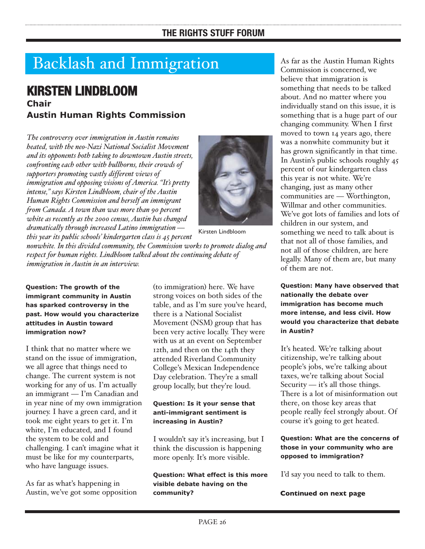## Backlash and Immigration

## **KIRSTEN LINDBLOOM Chair Austin Human Rights Commission**

*The controversy over immigration in Austin remains heated, with the neo-Nazi National Socialist Movement and its opponents both taking to downtown Austin streets, confronting each other with bullhorns, their crowds of supporters promoting vastly different views of immigration and opposing visions of America. "It's pretty intense," says Kirsten Lindbloom, chair of the Austin Human Rights Commission and herself an immigrant from Canada. A town than was more than 90 percent white as recently as the 2000 census, Austin has changed dramatically through increased Latino immigration —*



Kirsten Lindbloom

*this year its public schools' kindergarten class is 45 percent nonwhite. In this divided community, the Commission works to promote dialog and respect for human rights. Lindbloom talked about the continuing debate of immigration in Austin in an interview.*

**Question: The growth of the immigrant community in Austin has sparked controversy in the past. How would you characterize attitudes in Austin toward immigration now?**

I think that no matter where we stand on the issue of immigration, we all agree that things need to change. The current system is not working for any of us. I'm actually an immigrant — I'm Canadian and in year nine of my own immigration journey. I have a green card, and it took me eight years to get it. I'm white, I'm educated, and I found the system to be cold and challenging. I can't imagine what it must be like for my counterparts, who have language issues.

As far as what's happening in Austin, we've got some opposition (to immigration) here. We have strong voices on both sides of the table, and as I'm sure you've heard, there is a National Socialist Movement (NSM) group that has been very active locally. They were with us at an event on September 12th, and then on the 14th they attended Riverland Community College's Mexican Independence Day celebration. They're a small group locally, but they're loud.

#### **Question: Is it your sense that anti-immigrant sentiment is increasing in Austin?**

I wouldn't say it's increasing, but I think the discussion is happening more openly. It's more visible.

**Question: What effect is this more visible debate having on the community?**

As far as the Austin Human Rights Commission is concerned, we believe that immigration is something that needs to be talked about. And no matter where you individually stand on this issue, it is something that is a huge part of our changing community. When I first moved to town 14 years ago, there was a nonwhite community but it has grown significantly in that time. In Austin's public schools roughly 45 percent of our kindergarten class this year is not white. We're changing, just as many other communities are — Worthington, Willmar and other communities. We've got lots of families and lots of children in our system, and something we need to talk about is that not all of those families, and not all of those children, are here legally. Many of them are, but many of them are not.

**Question: Many have observed that nationally the debate over immigration has become much more intense, and less civil. How would you characterize that debate in Austin?**

It's heated. We're talking about citizenship, we're talking about people's jobs, we're talking about taxes, we're talking about Social Security — it's all those things. There is a lot of misinformation out there, on those key areas that people really feel strongly about. Of course it's going to get heated.

**Question: What are the concerns of those in your community who are opposed to immigration?**

I'd say you need to talk to them.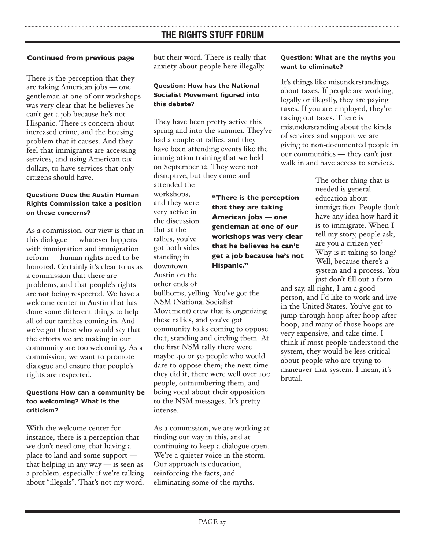#### **Continued from previous page**

There is the perception that they are taking American jobs — one gentleman at one of our workshops was very clear that he believes he can't get a job because he's not Hispanic. There is concern about increased crime, and the housing problem that it causes. And they feel that immigrants are accessing services, and using American tax dollars, to have services that only citizens should have.

#### **Question: Does the Austin Human Rights Commission take a position on these concerns?**

As a commission, our view is that in this dialogue — whatever happens with immigration and immigration reform — human rights need to be honored. Certainly it's clear to us as a commission that there are problems, and that people's rights are not being respected. We have a welcome center in Austin that has done some different things to help all of our families coming in. And we've got those who would say that the efforts we are making in our community are too welcoming. As a commission, we want to promote dialogue and ensure that people's rights are respected.

#### **Question: How can a community be too welcoming? What is the criticism?**

With the welcome center for instance, there is a perception that we don't need one, that having a place to land and some support that helping in any way — is seen as a problem, especially if we're talking about "illegals". That's not my word, but their word. There is really that anxiety about people here illegally.

#### **Question: How has the National Socialist Movement figured into this debate?**

They have been pretty active this spring and into the summer. They've had a couple of rallies, and they have been attending events like the immigration training that we held on September 12. They were not disruptive, but they came and attended the workshops, and they were very active in the discussion. But at the rallies, you've got both sides standing in downtown Austin on the other ends of bullhorns, yelling. You've got the NSM (National Socialist Movement) crew that is organizing these rallies, and you've got community folks coming to oppose that, standing and circling them. At the first NSM rally there were maybe 40 or 50 people who would dare to oppose them; the next time they did it, there were well over 100 people, outnumbering them, and being vocal about their opposition to the NSM messages. It's pretty intense. **"There is the perception that they are taking American jobs — one gentleman at one of our workshops was very clear that he believes he can't get a job because he's not Hispanic."**

As a commission, we are working at finding our way in this, and at continuing to keep a dialogue open. We're a quieter voice in the storm. Our approach is education, reinforcing the facts, and eliminating some of the myths.

#### **Question: What are the myths you want to eliminate?**

It's things like misunderstandings about taxes. If people are working, legally or illegally, they are paying taxes. If you are employed, they're taking out taxes. There is misunderstanding about the kinds of services and support we are giving to non-documented people in our communities — they can't just walk in and have access to services.

> The other thing that is needed is general education about immigration. People don't have any idea how hard it is to immigrate. When I tell my story, people ask, are you a citizen yet? Why is it taking so long? Well, because there's a system and a process. You just don't fill out a form

and say, all right, I am a good person, and I'd like to work and live in the United States. You've got to jump through hoop after hoop after hoop, and many of those hoops are very expensive, and take time. I think if most people understood the system, they would be less critical about people who are trying to maneuver that system. I mean, it's brutal.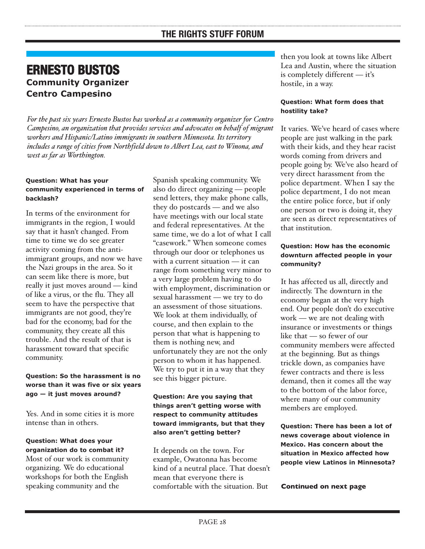### **ERNESTO BUSTOS Community Organizer Centro Campesino**

*For the past six years Ernesto Bustos has worked as a community organizer for Centro Campesino, an organization that provides services and advocates on behalf of migrant workers and Hispanic/Latino immigrants in southern Minnesota. Its territory includes a range of cities from Northfield down to Albert Lea, east to Winona, and west as far as Worthington.*

#### **Question: What has your community experienced in terms of backlash?**

In terms of the environment for immigrants in the region, I would say that it hasn't changed. From time to time we do see greater activity coming from the antiimmigrant groups, and now we have the Nazi groups in the area. So it can seem like there is more, but really it just moves around — kind of like a virus, or the flu. They all seem to have the perspective that immigrants are not good, they're bad for the economy, bad for the community, they create all this trouble. And the result of that is harassment toward that specific community.

#### **Question: So the harassment is no worse than it was five or six years ago — it just moves around?**

Yes. And in some cities it is more intense than in others.

#### **Question: What does your organization do to combat it?**

Most of our work is community organizing. We do educational workshops for both the English speaking community and the

Spanish speaking community. We also do direct organizing — people send letters, they make phone calls, they do postcards — and we also have meetings with our local state and federal representatives. At the same time, we do a lot of what I call "casework." When someone comes through our door or telephones us with a current situation — it can range from something very minor to a very large problem having to do with employment, discrimination or sexual harassment — we try to do an assessment of those situations. We look at them individually, of course, and then explain to the person that what is happening to them is nothing new, and unfortunately they are not the only person to whom it has happened. We try to put it in a way that they see this bigger picture.

#### **Question: Are you saying that things aren't getting worse with respect to community attitudes toward immigrants, but that they also aren't getting better?**

It depends on the town. For example, Owatonna has become kind of a neutral place. That doesn't mean that everyone there is comfortable with the situation. But

then you look at towns like Albert Lea and Austin, where the situation is completely different — it's hostile, in a way.

#### **Question: What form does that hostility take?**

It varies. We've heard of cases where people are just walking in the park with their kids, and they hear racist words coming from drivers and people going by. We've also heard of very direct harassment from the police department. When I say the police department, I do not mean the entire police force, but if only one person or two is doing it, they are seen as direct representatives of that institution.

#### **Question: How has the economic downturn affected people in your community?**

It has affected us all, directly and indirectly. The downturn in the economy began at the very high end. Our people don't do executive work — we are not dealing with insurance or investments or things like that — so fewer of our community members were affected at the beginning. But as things trickle down, as companies have fewer contracts and there is less demand, then it comes all the way to the bottom of the labor force, where many of our community members are employed.

**Question: There has been a lot of news coverage about violence in Mexico. Has concern about the situation in Mexico affected how people view Latinos in Minnesota?**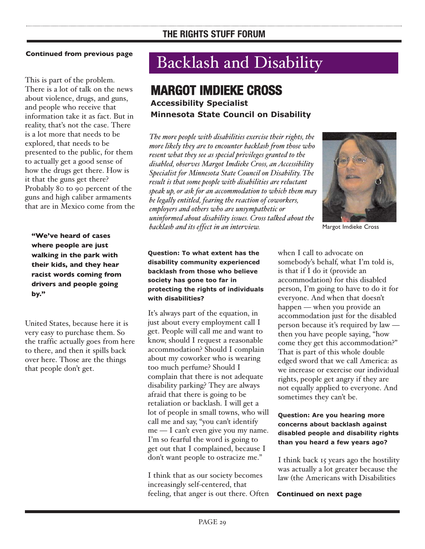#### **Continued from previous page**

This is part of the problem. There is a lot of talk on the news about violence, drugs, and guns, and people who receive that information take it as fact. But in reality, that's not the case. There is a lot more that needs to be explored, that needs to be presented to the public, for them to actually get a good sense of how the drugs get there. How is it that the guns get there? Probably 80 to 90 percent of the guns and high caliber armaments that are in Mexico come from the

**"We've heard of cases where people are just walking in the park with their kids, and they hear racist words coming from drivers and people going by."**

United States, because here it is very easy to purchase them. So the traffic actually goes from here to there, and then it spills back over here. Those are the things that people don't get.

## Backlash and Disability

## **MARGOT IMDIEKE CROSS**

**Accessibility Specialist Minnesota State Council on Disability**

*The more people with disabilities exercise their rights, the more likely they are to encounter backlash from those who resent what they see as special privileges granted to the disabled, observes Margot Imdieke Cross, an Accessibility Specialist for Minnesota State Council on Disability. The result is that some people with disabilities are reluctant speak up, or ask for an accommodation to which them may be legally entitled, fearing the reaction of coworkers, employers and others who are unsympathetic or uninformed about disability issues. Cross talked about the backlash and its effect in an interview.* Margot Imdieke Cross



**Question: To what extent has the disability community experienced backlash from those who believe society has gone too far in protecting the rights of individuals with disabilities?**

It's always part of the equation, in just about every employment call I get. People will call me and want to know, should I request a reasonable accommodation? Should I complain about my coworker who is wearing too much perfume? Should I complain that there is not adequate disability parking? They are always afraid that there is going to be retaliation or backlash. I will get a lot of people in small towns, who will call me and say, "you can't identify me — I can't even give you my name. I'm so fearful the word is going to get out that I complained, because I don't want people to ostracize me."

I think that as our society becomes increasingly self-centered, that feeling, that anger is out there. Often

when I call to advocate on somebody's behalf, what I'm told is, is that if I do it (provide an accommodation) for this disabled person, I'm going to have to do it for everyone. And when that doesn't happen — when you provide an accommodation just for the disabled person because it's required by law then you have people saying, "how come they get this accommodation?" That is part of this whole double edged sword that we call America: as we increase or exercise our individual rights, people get angry if they are not equally applied to everyone. And sometimes they can't be.

#### **Question: Are you hearing more concerns about backlash against disabled people and disability rights than you heard a few years ago?**

I think back 15 years ago the hostility was actually a lot greater because the law (the Americans with Disabilities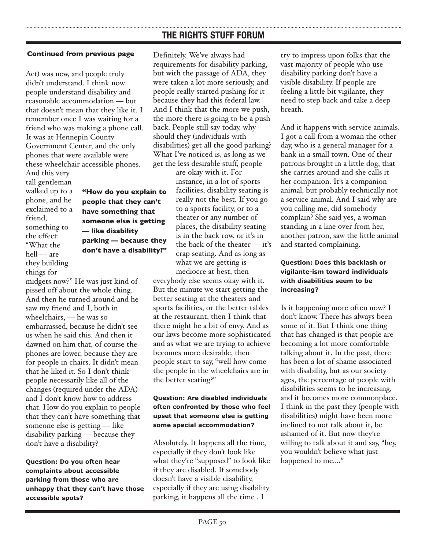#### **Continued from previous page**

Act) was new, and people truly didn't understand. I think now people understand disability and reasonable accommodation — but that doesn't mean that they like it. I remember once I was waiting for a friend who was making a phone call. It was at Hennepin County Government Center, and the only phones that were available were these wheelchair accessible phones.

And this very tall gentleman walked up to a phone, and he exclaimed to a friend, something to the effect: "What the hell — are they building things for

**"How do you explain to people that they can't have something that someone else is getting — like disability parking — because they don't have a disability?"**

midgets now?" He was just kind of pissed off about the whole thing. And then he turned around and he saw my friend and I, both in wheelchairs, — he was so embarrassed, because he didn't see us when he said this. And then it dawned on him that, of course the phones are lower, because they are for people in chairs. It didn't mean that he liked it. So I don't think people necessarily like all of the changes (required under the ADA) and I don't know how to address that. How do you explain to people that they can't have something that someone else is getting — like disability parking — because they don't have a disability?

**Question: Do you often hear complaints about accessible parking from those who are unhappy that they can't have those accessible spots?**

Definitely. We've always had requirements for disability parking, but with the passage of ADA, they were taken a lot more seriously, and people really started pushing for it because they had this federal law. And I think that the more we push, the more there is going to be a push back. People still say today, why should they (individuals with disabilities) get all the good parking? What I've noticed is, as long as we get the less desirable stuff, people

> are okay with it. For instance, in a lot of sports facilities, disability seating is really not the best. If you go to a sports facility, or to a theater or any number of places, the disability seating is in the back row, or it's in the back of the theater — it's crap seating. And as long as what we are getting is mediocre at best, then

everybody else seems okay with it. But the minute we start getting the better seating at the theaters and sports facilities, or the better tables at the restaurant, then I think that there might be a bit of envy. And as our laws become more sophisticated and as what we are trying to achieve becomes more desirable, then people start to say, "well how come the people in the wheelchairs are in the better seating?"

#### **Question: Are disabled individuals often confronted by those who feel upset that someone else is getting some special accommodation?**

Absolutely. It happens all the time, especially if they don't look like what they're "supposed" to look like if they are disabled. If somebody doesn't have a visible disability, especially if they are using disability parking, it happens all the time . I

try to impress upon folks that the vast majority of people who use disability parking don't have a visible disability. If people are feeling a little bit vigilante, they need to step back and take a deep breath.

And it happens with service animals. I got a call from a woman the other day, who is a general manager for a bank in a small town. One of their patrons brought in a little dog, that she carries around and she calls it her companion. It's a companion animal, but probably technically not a service animal. And I said why are you calling me, did somebody complain? She said yes, a woman standing in a line over from her, another patron, saw the little animal and started complaining.

#### **Question: Does this backlash or vigilante-ism toward individuals with disabilities seem to be increasing?**

Is it happening more often now? I don't know. There has always been some of it. But I think one thing that has changed is that people are becoming a lot more comfortable talking about it. In the past, there has been a lot of shame associated with disability, but as our society ages, the percentage of people with disabilities seems to be increasing, and it becomes more commonplace. I think in the past they (people with disabilities) might have been more inclined to not talk about it, be ashamed of it. But now they're willing to talk about it and say, "hey, you wouldn't believe what just happened to me...."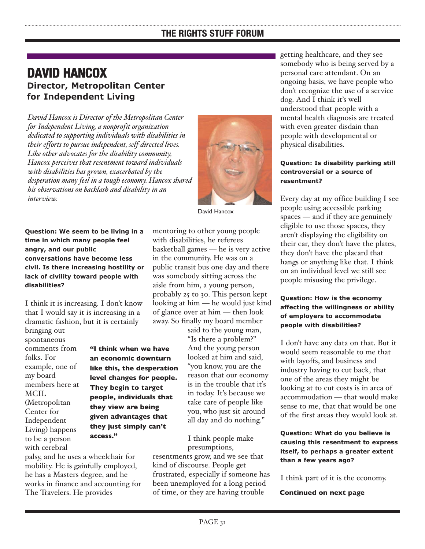## **DAVID HANCOX Director, Metropolitan Center for Independent Living**

*David Hancox is Director of the Metropolitan Center for Independent Living, a nonprofit organization dedicated to supporting individuals with disabilities in their efforts to pursue independent, self-directed lives. Like other advocates for the disability community, Hancox perceives that resentment toward individuals with disabilities has grown, exacerbated by the desperation many feel in a tough economy. Hancox shared his observations on backlash and disability in an interview.*



David Hancox

**Question: We seem to be living in a time in which many people feel angry, and our public conversations have become less civil. Is there increasing hostility or lack of civility toward people with disabilities?**

I think it is increasing. I don't know that I would say it is increasing in a dramatic fashion, but it is certainly bringing out

spontaneous comments from folks. For example, one of my board members here at MCIL (Metropolitan Center for Independent Living) happens to be a person with cerebral

**"I think when we have an economic downturn like this, the desperation level changes for people. They begin to target people, individuals that they view are being given advantages that they just simply can't access."**

palsy, and he uses a wheelchair for mobility. He is gainfully employed, he has a Masters degree, and he works in finance and accounting for The Travelers. He provides

mentoring to other young people with disabilities, he referees basketball games — he is very active in the community. He was on a public transit bus one day and there was somebody sitting across the aisle from him, a young person, probably 25 to 30. This person kept looking at him — he would just kind of glance over at him — then look away. So finally my board member

> said to the young man, "Is there a problem?" And the young person looked at him and said, "you know, you are the reason that our economy is in the trouble that it's in today. It's because we take care of people like you, who just sit around all day and do nothing."

I think people make presumptions,

resentments grow, and we see that kind of discourse. People get frustrated, especially if someone has been unemployed for a long period of time, or they are having trouble

getting healthcare, and they see somebody who is being served by a personal care attendant. On an ongoing basis, we have people who don't recognize the use of a service dog. And I think it's well understood that people with a mental health diagnosis are treated with even greater disdain than people with developmental or physical disabilities.

#### **Question: Is disability parking still controversial or a source of resentment?**

Every day at my office building I see people using accessible parking spaces — and if they are genuinely eligible to use those spaces, they aren't displaying the eligibility on their car, they don't have the plates, they don't have the placard that hangs or anything like that. I think on an individual level we still see people misusing the privilege.

#### **Question: How is the economy affecting the willingness or ability of employers to accommodate people with disabilities?**

I don't have any data on that. But it would seem reasonable to me that with layoffs, and business and industry having to cut back, that one of the areas they might be looking at to cut costs is in area of accommodation — that would make sense to me, that that would be one of the first areas they would look at.

#### **Question: What do you believe is causing this resentment to express itself, to perhaps a greater extent than a few years ago?**

I think part of it is the economy.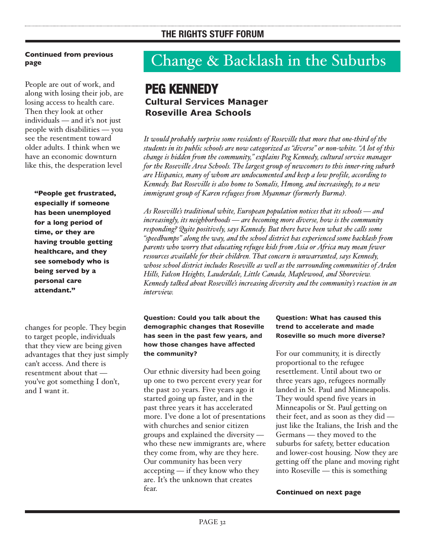People are out of work, and along with losing their job, are losing access to health care. Then they look at other individuals — and it's not just people with disabilities — you see the resentment toward older adults. I think when we have an economic downturn like this, the desperation level

**"People get frustrated, especially if someone has been unemployed for a long period of time, or they are having trouble getting healthcare, and they see somebody who is being served by a personal care attendant."**

changes for people. They begin to target people, individuals that they view are being given advantages that they just simply can't access. And there is resentment about that you've got something I don't, and I want it.

## Change & Backlash in the Suburbs

## **PEG KENNEDY Cultural Services Manager Roseville Area Schools**

*It would probably surprise some residents of Roseville that more that one-third of the students in its public schools are now categorized as "diverse" or non-white. "A lot of this change is hidden from the community," explains Peg Kennedy, cultural service manager for the Roseville Area Schools. The largest group of newcomers to this inner-ring suburb are Hispanics, many of whom are undocumented and keep a low profile, according to Kennedy. But Roseville is also home to Somalis, Hmong, and increasingly, to a new immigrant group of Karen refugees from Myanmar (formerly Burma).* 

*As Roseville's traditional white, European population notices that its schools — and increasingly, its neighborhoods — are becoming more diverse, how is the community responding? Quite positively, says Kennedy. But there have been what she calls some "speedbumps" along the way, and the school district has experienced some backlash from parents who worry that educating refugee kids from Asia or Africa may mean fewer resources available for their children. That concern is unwarranted, says Kennedy, whose school district includes Roseville as well as the surrounding communities of Arden Hills, Falcon Heights, Lauderdale, Little Canada, Maplewood, and Shoreview. Kennedy talked about Roseville's increasing diversity and the community's reaction in an interview.*

#### **Question: Could you talk about the demographic changes that Roseville has seen in the past few years, and how those changes have affected the community?**

Our ethnic diversity had been going up one to two percent every year for the past 20 years. Five years ago it started going up faster, and in the past three years it has accelerated more. I've done a lot of presentations with churches and senior citizen groups and explained the diversity who these new immigrants are, where they come from, why are they here. Our community has been very accepting — if they know who they are. It's the unknown that creates fear.

#### **Question: What has caused this trend to accelerate and made Roseville so much more diverse?**

For our community, it is directly proportional to the refugee resettlement. Until about two or three years ago, refugees normally landed in St. Paul and Minneapolis. They would spend five years in Minneapolis or St. Paul getting on their feet, and as soon as they did just like the Italians, the Irish and the Germans — they moved to the suburbs for safety, better education and lower-cost housing. Now they are getting off the plane and moving right into Roseville — this is something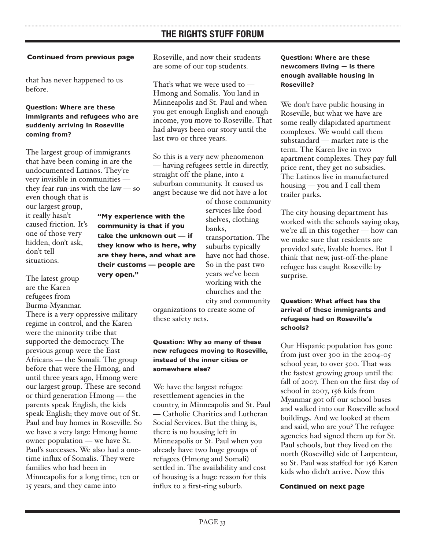#### **Continued from previous page**

that has never happened to us before.

#### **Question: Where are these immigrants and refugees who are suddenly arriving in Roseville coming from?**

The largest group of immigrants that have been coming in are the undocumented Latinos. They're very invisible in communities they fear run-ins with the law — so

> **"My experience with the community is that if you take the unknown out — if they know who is here, why are they here, and what are their customs — people are**

**very open."**

even though that is our largest group, it really hasn't caused friction. It's one of those very hidden, don't ask, don't tell situations.

The latest group are the Karen refugees from Burma-Myanmar.

There is a very oppressive military regime in control, and the Karen were the minority tribe that supported the democracy. The previous group were the East Africans — the Somali. The group before that were the Hmong, and until three years ago, Hmong were our largest group. These are second or third generation Hmong — the parents speak English, the kids speak English; they move out of St. Paul and buy homes in Roseville. So we have a very large Hmong home owner population — we have St. Paul's successes. We also had a onetime influx of Somalis. They were families who had been in Minneapolis for a long time, ten or 15 years, and they came into

Roseville, and now their students are some of our top students.

That's what we were used to — Hmong and Somalis. You land in Minneapolis and St. Paul and when you get enough English and enough income, you move to Roseville. That had always been our story until the last two or three years.

So this is a very new phenomenon — having refugees settle in directly, straight off the plane, into a suburban community. It caused us angst because we did not have a lot

> of those community services like food shelves, clothing banks,

> transportation. The suburbs typically have not had those. So in the past two years we've been working with the churches and the city and community

organizations to create some of these safety nets.

#### **Question: Why so many of these new refugees moving to Roseville, instead of the inner cities or somewhere else?**

We have the largest refugee resettlement agencies in the country, in Minneapolis and St. Paul — Catholic Charities and Lutheran Social Services. But the thing is, there is no housing left in Minneapolis or St. Paul when you already have two huge groups of refugees (Hmong and Somali) settled in. The availability and cost of housing is a huge reason for this influx to a first-ring suburb.

**Question: Where are these newcomers living — is there enough available housing in Roseville?**

We don't have public housing in Roseville, but what we have are some really dilapidated apartment complexes. We would call them substandard — market rate is the term. The Karen live in two apartment complexes. They pay full price rent, they get no subsidies. The Latinos live in manufactured housing — you and I call them trailer parks.

The city housing department has worked with the schools saying okay, we're all in this together — how can we make sure that residents are provided safe, livable homes. But I think that new, just-off-the-plane refugee has caught Roseville by surprise.

#### **Question: What affect has the arrival of these immigrants and refugees had on Roseville's schools?**

Our Hispanic population has gone from just over 300 in the 2004-05 school year, to over 500. That was the fastest growing group until the fall of 2007. Then on the first day of school in 2007, 156 kids from Myanmar got off our school buses and walked into our Roseville school buildings. And we looked at them and said, who are you? The refugee agencies had signed them up for St. Paul schools, but they lived on the north (Roseville) side of Larpenteur, so St. Paul was staffed for 156 Karen kids who didn't arrive. Now this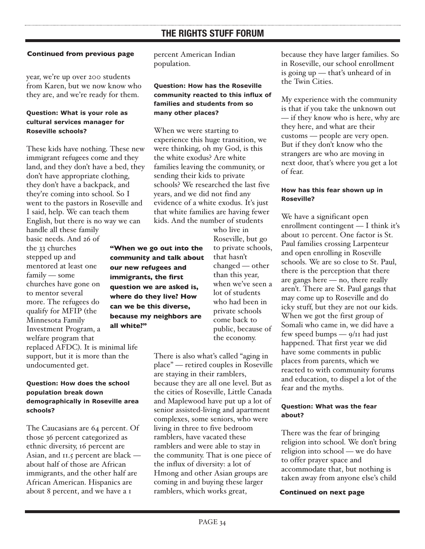#### **Continued from previous page**

year, we're up over 200 students from Karen, but we now know who they are, and we're ready for them.

#### **Question: What is your role as cultural services manager for Roseville schools?**

These kids have nothing. These new immigrant refugees come and they land, and they don't have a bed, they don't have appropriate clothing, they don't have a backpack, and they're coming into school. So I went to the pastors in Roseville and I said, help. We can teach them English, but there is no way we can handle all these family

basic needs. And 26 of the 33 churches stepped up and mentored at least one family — some churches have gone on to mentor several more. The refugees do qualify for MFIP (the Minnesota Family Investment Program, a welfare program that replaced AFDC). It is minimal life support, but it is more than the undocumented get.

#### **Question: How does the school population break down demographically in Roseville area schools?**

The Caucasians are 64 percent. Of those 36 percent categorized as ethnic diversity, 16 percent are Asian, and 11.5 percent are black about half of those are African immigrants, and the other half are African American. Hispanics are about 8 percent, and we have a 1

percent American Indian population.

#### **Question: How has the Roseville community reacted to this influx of families and students from so many other places?**

When we were starting to experience this huge transition, we were thinking, oh my God, is this the white exodus? Are white families leaving the community, or sending their kids to private schools? We researched the last five years, and we did not find any evidence of a white exodus. It's just that white families are having fewer kids. And the number of students

**"When we go out into the community and talk about our new refugees and immigrants, the first question we are asked is, where do they live? How can we be this diverse, because my neighbors are all white?"**

who live in Roseville, but go to private schools, that hasn't changed — other than this year, when we've seen a lot of students who had been in private schools come back to public, because of the economy.

There is also what's called "aging in place" — retired couples in Roseville are staying in their ramblers, because they are all one level. But as the cities of Roseville, Little Canada and Maplewood have put up a lot of senior assisted-living and apartment complexes, some seniors, who were living in three to five bedroom ramblers, have vacated these ramblers and were able to stay in the community. That is one piece of the influx of diversity: a lot of Hmong and other Asian groups are coming in and buying these larger ramblers, which works great,

because they have larger families. So in Roseville, our school enrollment is going up — that's unheard of in the Twin Cities.

My experience with the community is that if you take the unknown out — if they know who is here, why are they here, and what are their customs — people are very open. But if they don't know who the strangers are who are moving in next door, that's where you get a lot of fear.

#### **How has this fear shown up in Roseville?**

We have a significant open enrollment contingent — I think it's about 10 percent. One factor is St. Paul families crossing Larpenteur and open enrolling in Roseville schools. We are so close to St. Paul, there is the perception that there are gangs here — no, there really aren't. There are St. Paul gangs that may come up to Roseville and do icky stuff, but they are not our kids. When we got the first group of Somali who came in, we did have a few speed bumps — 9/11 had just happened. That first year we did have some comments in public places from parents, which we reacted to with community forums and education, to dispel a lot of the fear and the myths.

#### **Question: What was the fear about?**

There was the fear of bringing religion into school. We don't bring religion into school — we do have to offer prayer space and accommodate that, but nothing is taken away from anyone else's child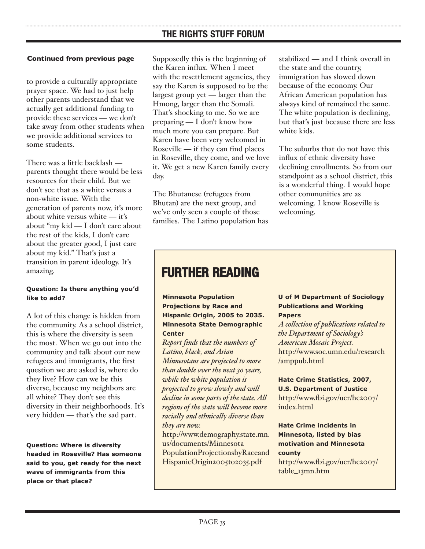#### **Continued from previous page**

to provide a culturally appropriate prayer space. We had to just help other parents understand that we actually get additional funding to provide these services — we don't take away from other students when we provide additional services to some students.

There was a little backlash parents thought there would be less resources for their child. But we don't see that as a white versus a non-white issue. With the generation of parents now, it's more about white versus white — it's about "my kid — I don't care about the rest of the kids, I don't care about the greater good, I just care about my kid." That's just a transition in parent ideology. It's amazing.

#### **Question: Is there anything you'd like to add?**

A lot of this change is hidden from the community. As a school district, this is where the diversity is seen the most. When we go out into the community and talk about our new refugees and immigrants, the first question we are asked is, where do they live? How can we be this diverse, because my neighbors are all white? They don't see this diversity in their neighborhoods. It's very hidden — that's the sad part.

**Question: Where is diversity headed in Roseville? Has someone said to you, get ready for the next wave of immigrants from this place or that place?**

Supposedly this is the beginning of the Karen influx. When I meet with the resettlement agencies, they say the Karen is supposed to be the largest group yet — larger than the Hmong, larger than the Somali. That's shocking to me. So we are preparing — I don't know how much more you can prepare. But Karen have been very welcomed in Roseville — if they can find places in Roseville, they come, and we love it. We get a new Karen family every day.

The Bhutanese (refugees from Bhutan) are the next group, and we've only seen a couple of those families. The Latino population has stabilized — and I think overall in the state and the country, immigration has slowed down because of the economy. Our African American population has always kind of remained the same. The white population is declining, but that's just because there are less white kids.

The suburbs that do not have this influx of ethnic diversity have declining enrollments. So from our standpoint as a school district, this is a wonderful thing. I would hope other communities are as welcoming. I know Roseville is welcoming.

## **FURTHER READING**

**Minnesota Population Projections by Race and Hispanic Origin, 2005 to 2035. Minnesota State Demographic Center**

*Report finds that the numbers of Latino, black, and Asian Minnesotans are projected to more than double over the next 30 years, while the white population is projected to grow slowly and will decline in some parts of the state. All regions of the state will become more racially and ethnically diverse than they are now.* [http://www.demography.state.mn.](http://www.demography.state.mn.us/documents/MinnesotaPopulationProjectionsbyRaceandHispanicOrigin2005to2035.pdf)

us/documents/Minnesota PopulationProjectionsbyRaceand HispanicOrigin2005to2035.pdf

#### **U of M Department of Sociology Publications and Working Papers**

*A collection of publications related to the Department of Sociology's American Mosaic Project.* [http://www.soc.umn.edu/research](http://www.soc.umn.edu/research/amppub.html) /amppub.html

**Hate Crime Statistics, 2007, U.S. Department of Justice** [http://www.fbi.gov/ucr/hc2007/](http://www.fbi.gov/ucr/hc2007/index.html) index html

**Hate Crime incidents in Minnesota, listed by bias motivation and Minnesota county**

[http://www.fbi.gov/ucr/hc2007/](http://www.fbi.gov/ucr/hc2007/table_13mn.htm) table\_13mn.htm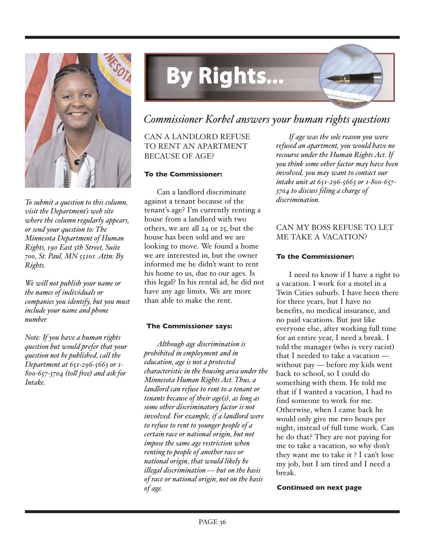

*To submit a question to this column, visit the Department's web site where the column regularly appears, or send your question to: The Minnesota Department of Human Rights, 190 East 5th Street, Suite 700, St. Paul, MN 55101. Attn: By Rights.*

*We will not publish your name or the names of individuals or companies you identify, but you must include your name and phone number.*

*Note: If you have a human rights question but would prefer that your question not be published, call the Department at 651-296-5663 or 1- 800-657-3704 (toll free) and ask for Intake.*

## **By Rights...**

## *Commissioner Korbel answers your human rights questions*

CAN A LANDLORD REFUSE TO RENT AN APARTMENT BECAUSE OF AGE?

#### **To the Commissioner:**

Can a landlord discriminate against a tenant because of the tenant's age? I'm currently renting a house from a landlord with two others, we are all 24 or 25, but the house has been sold and we are looking to move. We found a home we are interested in, but the owner informed me he didn't want to rent his home to us, due to our ages. Is this legal? In his rental ad, he did not have any age limits. We are more than able to make the rent.

#### **The Commissioner says:**

*Although age discrimination is prohibited in employment and in education, age is not a protected characteristic in the housing area under the Minnesota Human Rights Act. Thus, a landlord can refuse to rent to a tenant or tenants because of their age(s), as long as some other discriminatory factor is not involved. For example, if a landlord were to refuse to rent to younger people of a certain race or national origin, but not impose the same age restriction when renting to people of another race or national origin, that would likely be illegal discrimination — but on the basis of race or national origin, not on the basis of age.*

*If age was the sole reason you were refused an apartment, you would have no recourse under the Human Rights Act. If you think some other factor may have been involved, you may want to contact our intake unit at 651-296-5663 or 1-800-657- 3704 to discuss filing a charge of discrimination.*

#### CAN MY BOSS REFUSE TO LET ME TAKE A VACATION?

#### **To the Commissioner:**

I need to know if I have a right to a vacation. I work for a motel in a Twin Cities suburb. I have been there for three years, but I have no benefits, no medical insurance, and no paid vacations. But just like everyone else, after working full time for an entire year, I need a break. I told the manager (who is very racist) that I needed to take a vacation without pay — before my kids went back to school, so I could do something with them. He told me that if I wanted a vacation, I had to find someone to work for me. Otherwise, when I came back he would only give me two hours per night, instead of full time work. Can he do that? They are not paying for me to take a vacation, so why don't they want me to take it ? I can't lose my job, but I am tired and I need a break.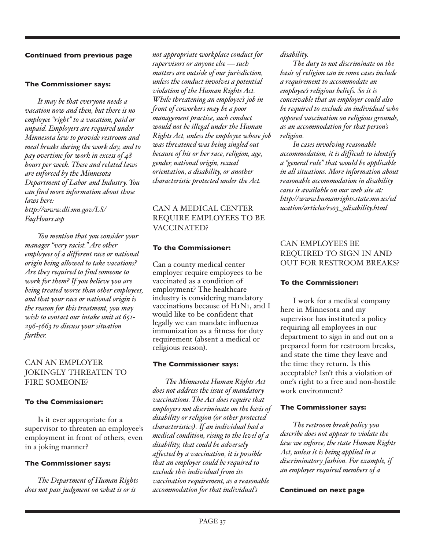#### **The Commissioner says:**

*It may be that everyone needs a vacation now and then, but there is no employee "right" to a vacation, paid or unpaid. Employers are required under Minnesota law to provide restroom and meal breaks during the work day, and to pay overtime for work in excess of 48 hours per week. These and related laws are enforced by the Minnesota Department of Labor and Industry. You can find more information about those laws here: http://www.dli.mn.gov/LS/*

*FaqHours.asp*

*You mention that you consider your manager "very racist." Are other employees of a different race or national origin being allowed to take vacations? Are they required to find someone to work for them? If you believe you are being treated worse than other employees, and that your race or national origin is the reason for this treatment, you may wish to contact our intake unit at 651- 296-5663 to discuss your situation further.* 

#### CAN AN EMPLOYER JOKINGLY THREATEN TO FIRE SOMEONE?

#### **To the Commissioner:**

Is it ever appropriate for a supervisor to threaten an employee's employment in front of others, even in a joking manner?

#### **The Commissioner says:**

*The Department of Human Rights does not pass judgment on what is or is*

*not appropriate workplace conduct for supervisors or anyone else — such matters are outside of our jurisdiction, unless the conduct involves a potential violation of the Human Rights Act. While threatening an employee's job in front of coworkers may be a poor management practice, such conduct would not be illegal under the Human Rights Act, unless the employee whose job was threatened was being singled out because of his or her race, religion, age, gender, national origin, sexual orientation, a disability, or another characteristic protected under the Act.*

#### CAN A MEDICAL CENTER REQUIRE EMPLOYEES TO BE VACCINATED?

#### **To the Commissioner:**

Can a county medical center employer require employees to be vaccinated as a condition of employment? The healthcare industry is considering mandatory vaccinations because of H1N1, and I would like to be confident that legally we can mandate influenza immunization as a fitness for duty requirement (absent a medical or religious reason).

#### **The Commissioner says:**

*The Minnesota Human Rights Act does not address the issue of mandatory vaccinations. The Act does require that employers not discriminate on the basis of disability or religion (or other protected characteristics). If an individual had a medical condition, rising to the level of a disability, that could be adversely affected by a vaccination, it is possible that an employer could be required to exclude this individual from its vaccination requirement, as a reasonable accommodation for that individual's*

*disability.*

*The duty to not discriminate on the basis of religion can in some cases include a requirement to accommodate an employee's religious beliefs. So it is conceivable that an employer could also be required to exclude an individual who opposed vaccination on religious grounds, as an accommodation for that person's religion.* 

*In cases involving reasonable accommodation, it is difficult to identify a "general rule" that would be applicable in all situations. More information about reasonable accommodation in disability cases is available on our web site at: http://www.humanrights.state.mn.us/ed ucation/articles/rs03\_3disability.html*

#### CAN EMPLOYEES BE REQUIRED TO SIGN IN AND OUT FOR RESTROOM BREAKS?

#### **To the Commissioner:**

I work for a medical company here in Minnesota and my supervisor has instituted a policy requiring all employees in our department to sign in and out on a prepared form for restroom breaks, and state the time they leave and the time they return. Is this acceptable? Isn't this a violation of one's right to a free and non-hostile work environment?

#### **The Commissioner says:**

*The restroom break policy you describe does not appear to violate the law we enforce, the state Human Rights Act, unless it is being applied in a discriminatory fashion. For example, if an employer required members of a*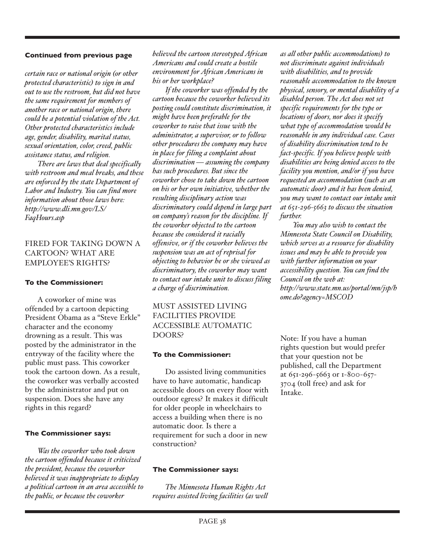*certain race or national origin (or other protected characteristic) to sign in and out to use the restroom, but did not have the same requirement for members of another race or national origin, there could be a potential violation of the Act. Other protected characteristics include age, gender, disability, marital status, sexual orientation, color, creed, public assistance status, and religion.*

*There are laws that deal specifically with restroom and meal breaks, and these are enforced by the state Department of Labor and Industry. You can find more information about those laws here: http://www.dli.mn.gov/LS/ FaqHours.asp*

#### FIRED FOR TAKING DOWN A CARTOON? WHAT ARE EMPLOYEE'S RIGHTS?

#### **To the Commissioner:**

A coworker of mine was offended by a cartoon depicting President Obama as a "Steve Erkle" character and the economy drowning as a result. This was posted by the administrator in the entryway of the facility where the public must pass. This coworker took the cartoon down. As a result, the coworker was verbally accosted by the administrator and put on suspension. Does she have any rights in this regard?

#### **The Commissioner says:**

*Was the coworker who took down the cartoon offended because it criticized the president, because the coworker believed it was inappropriate to display a political cartoon in an area accessible to the public, or because the coworker*

*believed the cartoon stereotyped African Americans and could create a hostile environment for African Americans in his or her workplace?*

*If the coworker was offended by the cartoon because the coworker believed its posting could constitute discrimination, it might have been preferable for the coworker to raise that issue with the administrator, a supervisor, or to follow other procedures the company may have in place for filing a complaint about discrimination — assuming the company has such procedures. But since the coworker chose to take down the cartoon on his or her own initiative, whether the resulting disciplinary action was discriminatory could depend in large part on company's reason for the discipline. If the coworker objected to the cartoon because she considered it racially offensive, or if the coworker believes the suspension was an act of reprisal for objecting to behavior he or she viewed as discriminatory, the coworker may want to contact our intake unit to discuss filing a charge of discrimination.*

#### MUST ASSISTED LIVING FACILITIES PROVIDE ACCESSIBLE AUTOMATIC DOORS?

#### **To the Commissioner:**

Do assisted living communities have to have automatic, handicap accessible doors on every floor with outdoor egress? It makes it difficult for older people in wheelchairs to access a building when there is no automatic door. Is there a requirement for such a door in new construction?

#### **The Commissioner says:**

*The Minnesota Human Rights Act requires assisted living facilities (as well*

*as all other public accommodations) to not discriminate against individuals with disabilities, and to provide reasonable accommodation to the known physical, sensory, or mental disability of a disabled person. The Act does not set specific requirements for the type or locations of doors, nor does it specify what type of accommodation would be reasonable in any individual case. Cases of disability discrimination tend to be fact-specific. If you believe people with disabilities are being denied access to the facility you mention, and/or if you have requested an accommodation (such as an automatic door) and it has been denied, you may want to contact our intake unit at 651-296-5663 to discuss the situation further.* 

*You may also wish to contact the Minnesota State Council on Disability, which serves as a resource for disability issues and may be able to provide you with further information on your accessibility question. You can find the Council on the web at: http://www.state.mn.us/portal/mn/jsp/h ome.do?agency=MSCOD*

Note: If you have a human rights question but would prefer that your question not be published, call the Department at 651-296-5663 or 1-800-657- 3704 (toll free) and ask for Intake.